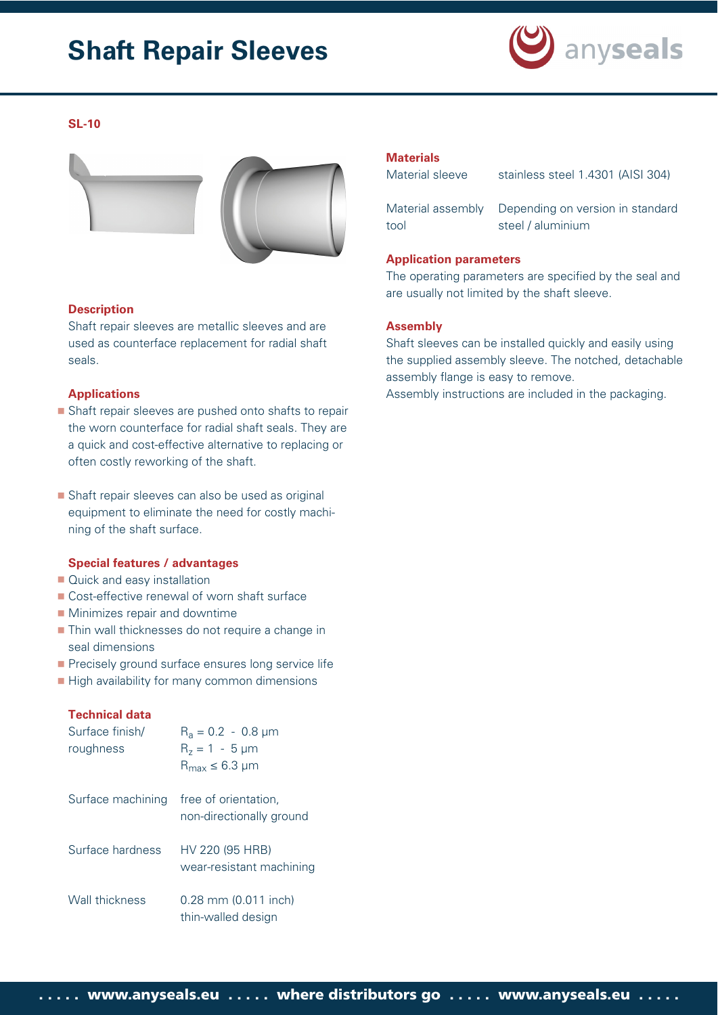# **Shaft Repair Sleeves**



#### **SL-10**



#### **Description**

Shaft repair sleeves are metallic sleeves and are used as counterface replacement for radial shaft seals.

#### **Applications**

- Shaft repair sleeves are pushed onto shafts to repair the worn counterface for radial shaft seals. They are a quick and cost-effective alternative to replacing or often costly reworking of the shaft.
- Shaft repair sleeves can also be used as original equipment to eliminate the need for costly machining of the shaft surface.

#### **Special features / advantages**

- Quick and easy installation
- Cost-effective renewal of worn shaft surface
- **Minimizes repair and downtime**
- **Thin wall thicknesses do not require a change in** seal dimensions
- **Precisely ground surface ensures long service life**
- High availability for many common dimensions

#### **Technical data**

| Surface finish/<br>roughness | $R_a = 0.2 - 0.8 \mu m$<br>$R_z = 1 - 5 \mu m$<br>$R_{max} \leq 6.3$ µm |
|------------------------------|-------------------------------------------------------------------------|
| Surface machining            | free of orientation.<br>non-directionally ground                        |
| Surface hardness             | HV 220 (95 HRB)<br>wear-resistant machining                             |
| Wall thickness               | $0.28$ mm $(0.011$ inch)<br>thin-walled design                          |

#### **Materials**

Material sleeve stainless steel 1.4301 (AISI 304)

Material assembly Depending on version in standard tool steel / aluminium

#### **Application parameters**

The operating parameters are specified by the seal and are usually not limited by the shaft sleeve.

#### **Assembly**

Shaft sleeves can be installed quickly and easily using the supplied assembly sleeve. The notched, detachable assembly flange is easy to remove. Assembly instructions are included in the packaging.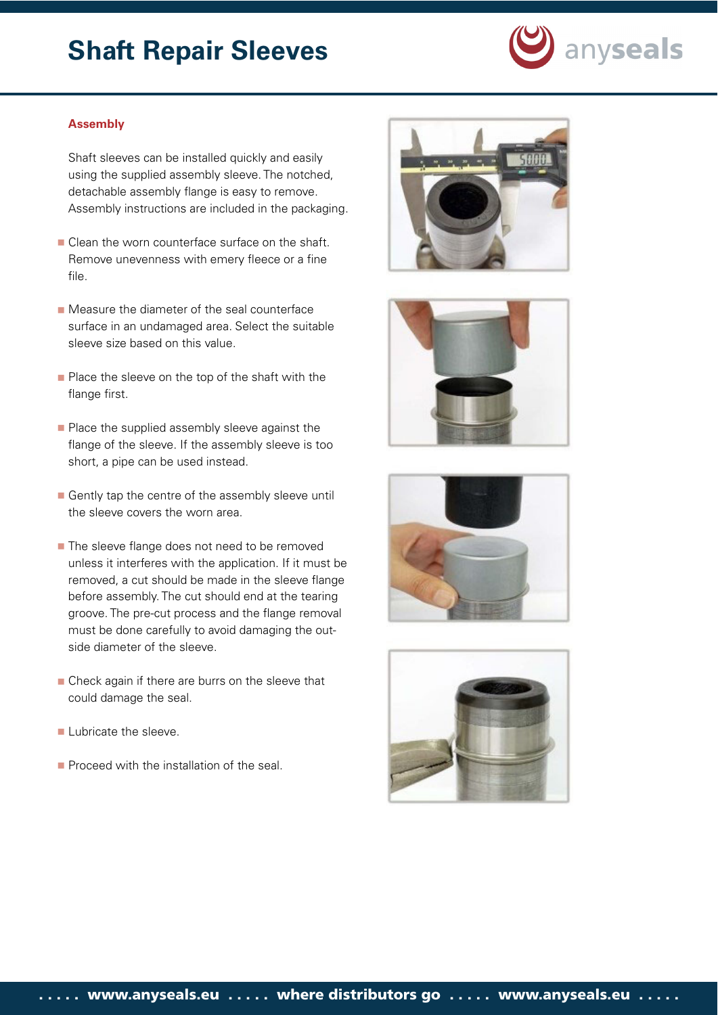# **Shaft Repair Sleeves**



#### **Assembly**

Shaft sleeves can be installed quickly and easily using the supplied assembly sleeve. The notched, detachable assembly flange is easy to remove. Assembly instructions are included in the packaging.

- Clean the worn counterface surface on the shaft. Remove unevenness with emery fleece or a fine file.
- **Measure the diameter of the seal counterface** surface in an undamaged area. Select the suitable sleeve size based on this value.
- Place the sleeve on the top of the shaft with the flange first.
- Place the supplied assembly sleeve against the flange of the sleeve. If the assembly sleeve is too short, a pipe can be used instead.
- Gently tap the centre of the assembly sleeve until the sleeve covers the worn area.
- The sleeve flange does not need to be removed unless it interferes with the application. If it must be removed, a cut should be made in the sleeve flange before assembly. The cut should end at the tearing groove. The pre-cut process and the flange removal must be done carefully to avoid damaging the outside diameter of the sleeve.
- Check again if there are burrs on the sleeve that could damage the seal.
- **Lubricate the sleeve.**
- Proceed with the installation of the seal.







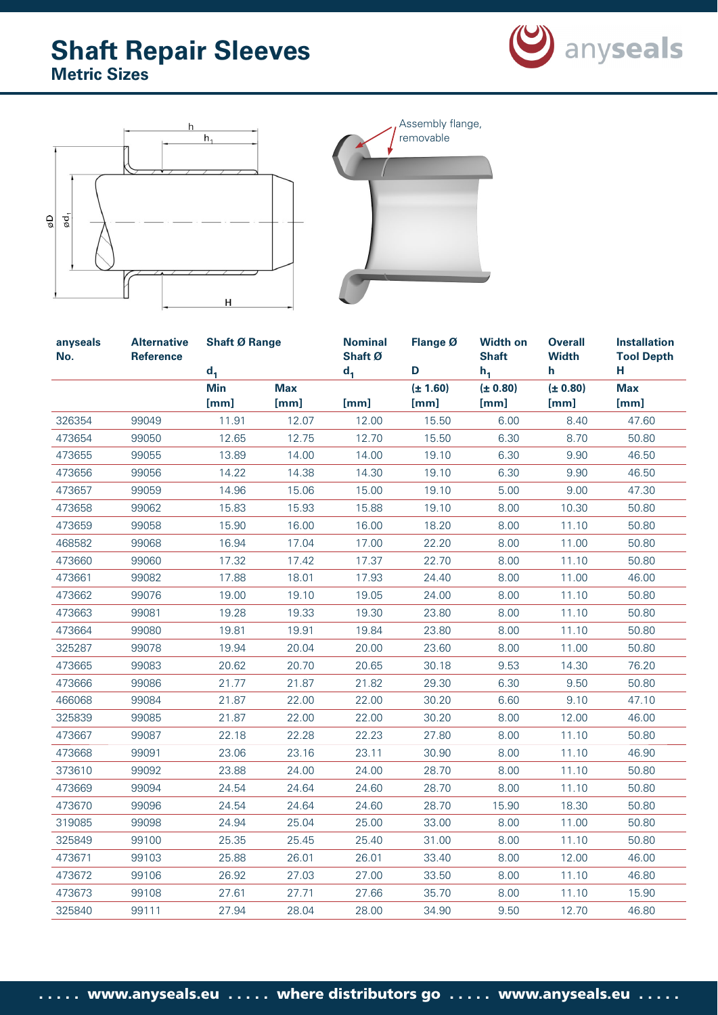





| anyseals<br>No. | <b>Alternative</b><br><b>Reference</b> | <b>Shaft Ø Range</b><br>$d_1$ |                    | <b>Nominal</b><br>Shaft Ø<br>d <sub>1</sub> | Flange Ø<br>D        | <b>Width on</b><br><b>Shaft</b><br>$h_1$ | <b>Overall</b><br><b>Width</b><br>h | <b>Installation</b><br><b>Tool Depth</b><br>H. |
|-----------------|----------------------------------------|-------------------------------|--------------------|---------------------------------------------|----------------------|------------------------------------------|-------------------------------------|------------------------------------------------|
|                 |                                        | <b>Min</b><br>[mm]            | <b>Max</b><br>[mm] | [mm]                                        | $(\pm 1.60)$<br>[mm] | (± 0.80)<br>[mm]                         | (± 0.80)<br>[mm]                    | <b>Max</b><br>[mm]                             |
| 326354          | 99049                                  | 11.91                         | 12.07              | 12.00                                       | 15.50                | 6.00                                     | 8.40                                | 47.60                                          |
| 473654          | 99050                                  | 12.65                         | 12.75              | 12.70                                       | 15.50                | 6.30                                     | 8.70                                | 50.80                                          |
| 473655          | 99055                                  | 13.89                         | 14.00              | 14.00                                       | 19.10                | 6.30                                     | 9.90                                | 46.50                                          |
| 473656          | 99056                                  | 14.22                         | 14.38              | 14.30                                       | 19.10                | 6.30                                     | 9.90                                | 46.50                                          |
| 473657          | 99059                                  | 14.96                         | 15.06              | 15.00                                       | 19.10                | 5.00                                     | 9.00                                | 47.30                                          |
| 473658          | 99062                                  | 15.83                         | 15.93              | 15.88                                       | 19.10                | 8.00                                     | 10.30                               | 50.80                                          |
| 473659          | 99058                                  | 15.90                         | 16.00              | 16.00                                       | 18.20                | 8.00                                     | 11.10                               | 50.80                                          |
| 468582          | 99068                                  | 16.94                         | 17.04              | 17.00                                       | 22.20                | 8.00                                     | 11.00                               | 50.80                                          |
| 473660          | 99060                                  | 17.32                         | 17.42              | 17.37                                       | 22.70                | 8.00                                     | 11.10                               | 50.80                                          |
| 473661          | 99082                                  | 17.88                         | 18.01              | 17.93                                       | 24.40                | 8.00                                     | 11.00                               | 46.00                                          |
| 473662          | 99076                                  | 19.00                         | 19.10              | 19.05                                       | 24.00                | 8.00                                     | 11.10                               | 50.80                                          |
| 473663          | 99081                                  | 19.28                         | 19.33              | 19.30                                       | 23.80                | 8.00                                     | 11.10                               | 50.80                                          |
| 473664          | 99080                                  | 19.81                         | 19.91              | 19.84                                       | 23.80                | 8.00                                     | 11.10                               | 50.80                                          |
| 325287          | 99078                                  | 19.94                         | 20.04              | 20.00                                       | 23.60                | 8.00                                     | 11.00                               | 50.80                                          |
| 473665          | 99083                                  | 20.62                         | 20.70              | 20.65                                       | 30.18                | 9.53                                     | 14.30                               | 76.20                                          |
| 473666          | 99086                                  | 21.77                         | 21.87              | 21.82                                       | 29.30                | 6.30                                     | 9.50                                | 50.80                                          |
| 466068          | 99084                                  | 21.87                         | 22.00              | 22.00                                       | 30.20                | 6.60                                     | 9.10                                | 47.10                                          |
| 325839          | 99085                                  | 21.87                         | 22.00              | 22.00                                       | 30.20                | 8.00                                     | 12.00                               | 46.00                                          |
| 473667          | 99087                                  | 22.18                         | 22.28              | 22.23                                       | 27.80                | 8.00                                     | 11.10                               | 50.80                                          |
| 473668          | 99091                                  | 23.06                         | 23.16              | 23.11                                       | 30.90                | 8.00                                     | 11.10                               | 46.90                                          |
| 373610          | 99092                                  | 23.88                         | 24.00              | 24.00                                       | 28.70                | 8.00                                     | 11.10                               | 50.80                                          |
| 473669          | 99094                                  | 24.54                         | 24.64              | 24.60                                       | 28.70                | 8.00                                     | 11.10                               | 50.80                                          |
| 473670          | 99096                                  | 24.54                         | 24.64              | 24.60                                       | 28.70                | 15.90                                    | 18.30                               | 50.80                                          |
| 319085          | 99098                                  | 24.94                         | 25.04              | 25.00                                       | 33.00                | 8.00                                     | 11.00                               | 50.80                                          |
| 325849          | 99100                                  | 25.35                         | 25.45              | 25.40                                       | 31.00                | 8.00                                     | 11.10                               | 50.80                                          |
| 473671          | 99103                                  | 25.88                         | 26.01              | 26.01                                       | 33.40                | 8.00                                     | 12.00                               | 46.00                                          |
| 473672          | 99106                                  | 26.92                         | 27.03              | 27.00                                       | 33.50                | 8.00                                     | 11.10                               | 46.80                                          |
| 473673          | 99108                                  | 27.61                         | 27.71              | 27.66                                       | 35.70                | 8.00                                     | 11.10                               | 15.90                                          |
| 325840          | 99111                                  | 27.94                         | 28.04              | 28.00                                       | 34.90                | 9.50                                     | 12.70                               | 46.80                                          |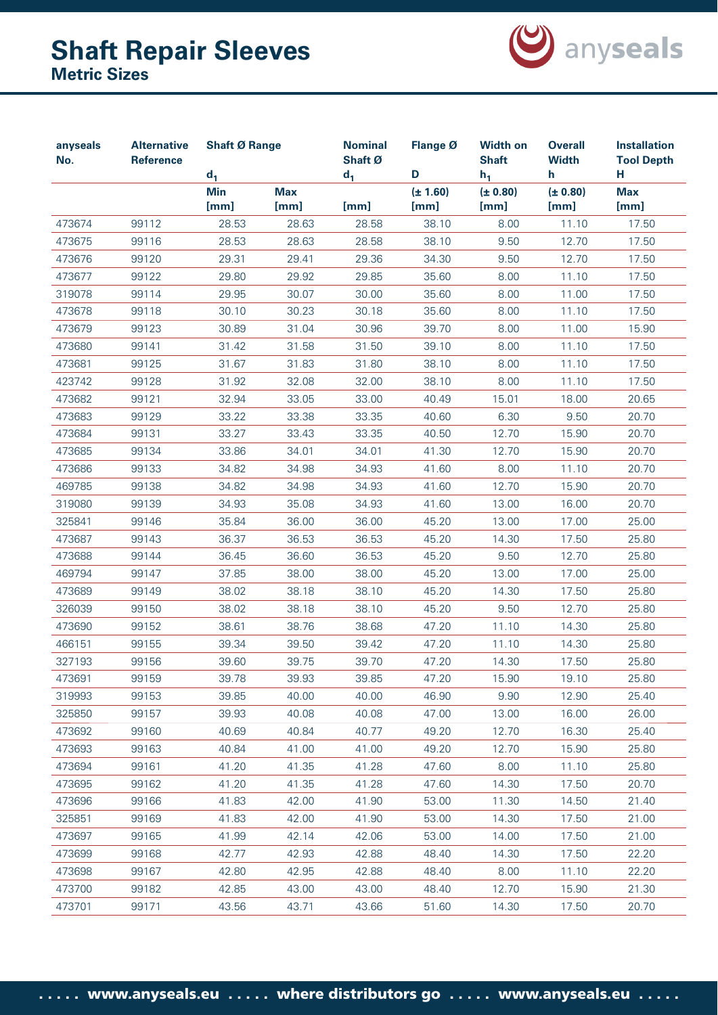

| anyseals<br>No. | <b>Alternative</b><br><b>Reference</b> |                    | <b>Shaft Ø Range</b><br>$d_1$ |               | Flange Ø<br>D        | <b>Width on</b><br><b>Shaft</b><br>$h_1$ | <b>Overall</b><br><b>Width</b><br>h | <b>Installation</b><br><b>Tool Depth</b><br>н |
|-----------------|----------------------------------------|--------------------|-------------------------------|---------------|----------------------|------------------------------------------|-------------------------------------|-----------------------------------------------|
|                 |                                        | <b>Min</b><br>[mm] | <b>Max</b><br>[mm]            | $d_1$<br>[mm] | $(\pm 1.60)$<br>[mm] | (± 0.80)<br>[mm]                         | (± 0.80)<br>[mm]                    | <b>Max</b><br>[mm]                            |
| 473674          | 99112                                  | 28.53              | 28.63                         | 28.58         | 38.10                | 8.00                                     | 11.10                               | 17.50                                         |
| 473675          | 99116                                  | 28.53              | 28.63                         | 28.58         | 38.10                | 9.50                                     | 12.70                               | 17.50                                         |
| 473676          | 99120                                  | 29.31              | 29.41                         | 29.36         | 34.30                | 9.50                                     | 12.70                               | 17.50                                         |
| 473677          | 99122                                  | 29.80              | 29.92                         | 29.85         | 35.60                | 8.00                                     | 11.10                               | 17.50                                         |
| 319078          | 99114                                  | 29.95              | 30.07                         | 30.00         | 35.60                | 8.00                                     | 11.00                               | 17.50                                         |
| 473678          | 99118                                  | 30.10              | 30.23                         | 30.18         | 35.60                | 8.00                                     | 11.10                               | 17.50                                         |
| 473679          | 99123                                  | 30.89              | 31.04                         | 30.96         | 39.70                | 8.00                                     | 11.00                               | 15.90                                         |
| 473680          | 99141                                  | 31.42              | 31.58                         | 31.50         | 39.10                | 8.00                                     | 11.10                               | 17.50                                         |
| 473681          | 99125                                  | 31.67              | 31.83                         | 31.80         | 38.10                | 8.00                                     | 11.10                               | 17.50                                         |
| 423742          | 99128                                  | 31.92              | 32.08                         | 32.00         | 38.10                | 8.00                                     | 11.10                               | 17.50                                         |
| 473682          | 99121                                  | 32.94              | 33.05                         | 33.00         | 40.49                | 15.01                                    | 18.00                               | 20.65                                         |
| 473683          | 99129                                  | 33.22              | 33.38                         | 33.35         | 40.60                | 6.30                                     | 9.50                                | 20.70                                         |
| 473684          | 99131                                  | 33.27              | 33.43                         | 33.35         | 40.50                | 12.70                                    | 15.90                               | 20.70                                         |
| 473685          | 99134                                  | 33.86              | 34.01                         | 34.01         | 41.30                | 12.70                                    | 15.90                               | 20.70                                         |
| 473686          | 99133                                  | 34.82              | 34.98                         | 34.93         | 41.60                | 8.00                                     | 11.10                               | 20.70                                         |
| 469785          | 99138                                  | 34.82              | 34.98                         | 34.93         | 41.60                | 12.70                                    | 15.90                               | 20.70                                         |
| 319080          | 99139                                  | 34.93              | 35.08                         | 34.93         | 41.60                | 13.00                                    | 16.00                               | 20.70                                         |
| 325841          | 99146                                  | 35.84              | 36.00                         | 36.00         | 45.20                | 13.00                                    | 17.00                               | 25.00                                         |
| 473687          | 99143                                  | 36.37              | 36.53                         | 36.53         | 45.20                | 14.30                                    | 17.50                               | 25.80                                         |
| 473688          | 99144                                  | 36.45              | 36.60                         | 36.53         | 45.20                | 9.50                                     | 12.70                               | 25.80                                         |
| 469794          | 99147                                  | 37.85              | 38.00                         | 38.00         | 45.20                | 13.00                                    | 17.00                               | 25.00                                         |
| 473689          | 99149                                  | 38.02              | 38.18                         | 38.10         | 45.20                | 14.30                                    | 17.50                               | 25.80                                         |
| 326039          | 99150                                  | 38.02              | 38.18                         | 38.10         | 45.20                | 9.50                                     | 12.70                               | 25.80                                         |
| 473690          | 99152                                  | 38.61              | 38.76                         | 38.68         | 47.20                | 11.10                                    | 14.30                               | 25.80                                         |
| 466151          | 99155                                  | 39.34              | 39.50                         | 39.42         | 47.20                | 11.10                                    | 14.30                               | 25.80                                         |
| 327193          | 99156                                  | 39.60              | 39.75                         | 39.70         | 47.20                | 14.30                                    | 17.50                               | 25.80                                         |
| 473691          | 99159                                  | 39.78              | 39.93                         | 39.85         | 47.20                | 15.90                                    | 19.10                               | 25.80                                         |
| 319993          | 99153                                  | 39.85              | 40.00                         | 40.00         | 46.90                | 9.90                                     | 12.90                               | 25.40                                         |
| 325850          | 99157                                  | 39.93              | 40.08                         | 40.08         | 47.00                | 13.00                                    | 16.00                               | 26.00                                         |
| 473692          | 99160                                  | 40.69              | 40.84                         | 40.77         | 49.20                | 12.70                                    | 16.30                               | 25.40                                         |
| 473693          | 99163                                  | 40.84              | 41.00                         | 41.00         | 49.20                | 12.70                                    | 15.90                               | 25.80                                         |
| 473694          | 99161                                  | 41.20              | 41.35                         | 41.28         | 47.60                | 8.00                                     | 11.10                               | 25.80                                         |
| 473695          | 99162                                  | 41.20              | 41.35                         | 41.28         | 47.60                | 14.30                                    | 17.50                               | 20.70                                         |
| 473696          | 99166                                  | 41.83              | 42.00                         | 41.90         | 53.00                | 11.30                                    | 14.50                               | 21.40                                         |
| 325851          | 99169                                  | 41.83              | 42.00                         | 41.90         | 53.00                | 14.30                                    | 17.50                               | 21.00                                         |
| 473697          | 99165                                  | 41.99              | 42.14                         | 42.06         | 53.00                | 14.00                                    | 17.50                               | 21.00                                         |
| 473699          | 99168                                  | 42.77              | 42.93                         | 42.88         | 48.40                | 14.30                                    | 17.50                               | 22.20                                         |
| 473698          | 99167                                  | 42.80              | 42.95                         | 42.88         | 48.40                | 8.00                                     | 11.10                               | 22.20                                         |
| 473700          | 99182                                  | 42.85              | 43.00                         | 43.00         | 48.40                | 12.70                                    | 15.90                               | 21.30                                         |
| 473701          | 99171                                  | 43.56              | 43.71                         | 43.66         | 51.60                | 14.30                                    | 17.50                               | 20.70                                         |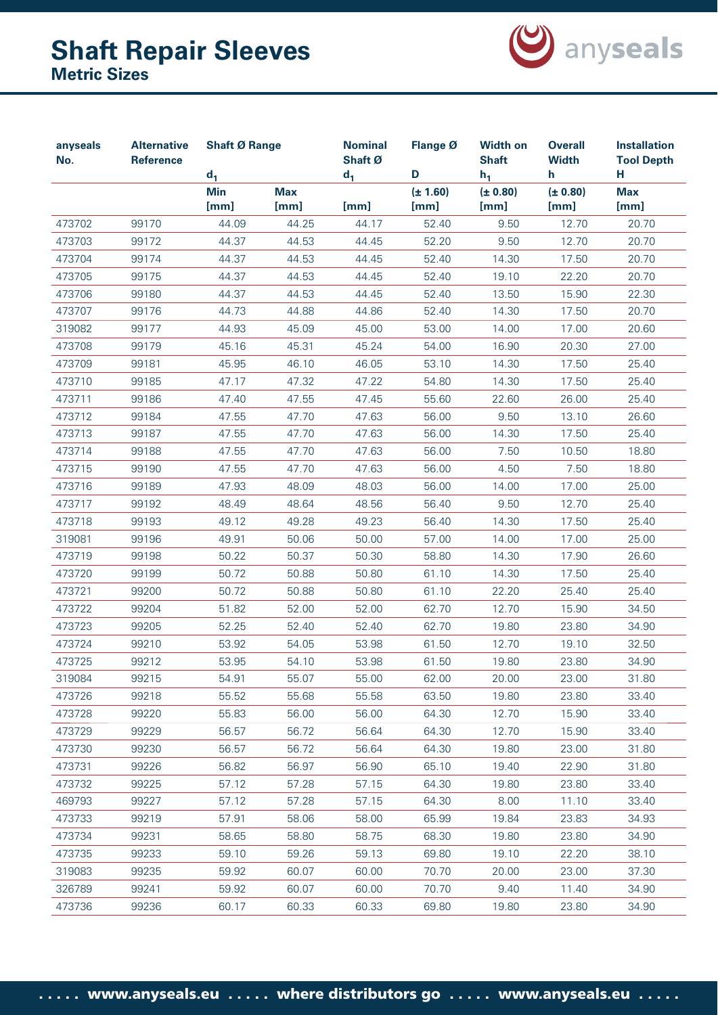

| anyseals<br>No. | <b>Alternative</b><br>Reference |                    | <b>Shaft Ø Range</b><br>$d_1$ |               | <b>Nominal</b><br>Flange Ø<br>Shaft Ø<br>D | <b>Width on</b><br><b>Shaft</b><br>$h_1$ | <b>Overall</b><br><b>Width</b><br>h. | <b>Installation</b><br><b>Tool Depth</b><br>н. |
|-----------------|---------------------------------|--------------------|-------------------------------|---------------|--------------------------------------------|------------------------------------------|--------------------------------------|------------------------------------------------|
|                 |                                 | <b>Min</b><br>[mm] | <b>Max</b><br>[mm]            | $d_1$<br>[mm] | $(\pm 1.60)$<br>[mm]                       | (± 0.80)<br>[mm]                         | (± 0.80)<br>[mm]                     | <b>Max</b><br>[mm]                             |
| 473702          | 99170                           | 44.09              | 44.25                         | 44.17         | 52.40                                      | 9.50                                     | 12.70                                | 20.70                                          |
| 473703          | 99172                           | 44.37              | 44.53                         | 44.45         | 52.20                                      | 9.50                                     | 12.70                                | 20.70                                          |
| 473704          | 99174                           | 44.37              | 44.53                         | 44.45         | 52.40                                      | 14.30                                    | 17.50                                | 20.70                                          |
| 473705          | 99175                           | 44.37              | 44.53                         | 44.45         | 52.40                                      | 19.10                                    | 22.20                                | 20.70                                          |
| 473706          | 99180                           | 44.37              | 44.53                         | 44.45         | 52.40                                      | 13.50                                    | 15.90                                | 22.30                                          |
| 473707          | 99176                           | 44.73              | 44.88                         | 44.86         | 52.40                                      | 14.30                                    | 17.50                                | 20.70                                          |
| 319082          | 99177                           | 44.93              | 45.09                         | 45.00         | 53.00                                      | 14.00                                    | 17.00                                | 20.60                                          |
| 473708          | 99179                           | 45.16              | 45.31                         | 45.24         | 54.00                                      | 16.90                                    | 20.30                                | 27.00                                          |
| 473709          | 99181                           | 45.95              | 46.10                         | 46.05         | 53.10                                      | 14.30                                    | 17.50                                | 25.40                                          |
| 473710          | 99185                           | 47.17              | 47.32                         | 47.22         | 54.80                                      | 14.30                                    | 17.50                                | 25.40                                          |
| 473711          | 99186                           | 47.40              | 47.55                         | 47.45         | 55.60                                      | 22.60                                    | 26.00                                | 25.40                                          |
| 473712          | 99184                           | 47.55              | 47.70                         | 47.63         | 56.00                                      | 9.50                                     | 13.10                                | 26.60                                          |
| 473713          | 99187                           | 47.55              | 47.70                         | 47.63         | 56.00                                      | 14.30                                    | 17.50                                | 25.40                                          |
| 473714          | 99188                           | 47.55              | 47.70                         | 47.63         | 56.00                                      | 7.50                                     | 10.50                                | 18.80                                          |
| 473715          | 99190                           | 47.55              | 47.70                         | 47.63         | 56.00                                      | 4.50                                     | 7.50                                 | 18.80                                          |
| 473716          | 99189                           | 47.93              | 48.09                         | 48.03         | 56.00                                      | 14.00                                    | 17.00                                | 25.00                                          |
| 473717          | 99192                           | 48.49              | 48.64                         | 48.56         | 56.40                                      | 9.50                                     | 12.70                                | 25.40                                          |
| 473718          | 99193                           | 49.12              | 49.28                         | 49.23         | 56.40                                      | 14.30                                    | 17.50                                | 25.40                                          |
| 319081          | 99196                           | 49.91              | 50.06                         | 50.00         | 57.00                                      | 14.00                                    | 17.00                                | 25.00                                          |
| 473719          | 99198                           | 50.22              | 50.37                         | 50.30         | 58.80                                      | 14.30                                    | 17.90                                | 26.60                                          |
| 473720          | 99199                           | 50.72              | 50.88                         | 50.80         | 61.10                                      | 14.30                                    | 17.50                                | 25.40                                          |
| 473721          | 99200                           | 50.72              | 50.88                         | 50.80         | 61.10                                      | 22.20                                    | 25.40                                | 25.40                                          |
| 473722          | 99204                           | 51.82              | 52.00                         | 52.00         | 62.70                                      | 12.70                                    | 15.90                                | 34.50                                          |
| 473723          | 99205                           | 52.25              | 52.40                         | 52.40         | 62.70                                      | 19.80                                    | 23.80                                | 34.90                                          |
| 473724          | 99210                           | 53.92              | 54.05                         | 53.98         | 61.50                                      | 12.70                                    | 19.10                                | 32.50                                          |
| 473725          | 99212                           | 53.95              | 54.10                         | 53.98         | 61.50                                      | 19.80                                    | 23.80                                | 34.90                                          |
| 319084          | 99215                           | 54.91              | 55.07                         | 55.00         | 62.00                                      | 20.00                                    | 23.00                                | 31.80                                          |
| 473726          | 99218                           | 55.52              | 55.68                         | 55.58         | 63.50                                      | 19.80                                    | 23.80                                | 33.40                                          |
| 473728          | 99220                           | 55.83              | 56.00                         | 56.00         | 64.30                                      | 12.70                                    | 15.90                                | 33.40                                          |
| 473729          | 99229                           | 56.57              | 56.72                         | 56.64         | 64.30                                      | 12.70                                    | 15.90                                | 33.40                                          |
| 473730          | 99230                           | 56.57              | 56.72                         | 56.64         | 64.30                                      | 19.80                                    | 23.00                                | 31.80                                          |
| 473731          | 99226                           | 56.82              | 56.97                         | 56.90         | 65.10                                      | 19.40                                    | 22.90                                | 31.80                                          |
| 473732          | 99225                           | 57.12              | 57.28                         | 57.15         | 64.30                                      | 19.80                                    | 23.80                                | 33.40                                          |
| 469793          | 99227                           | 57.12              | 57.28                         | 57.15         | 64.30                                      | 8.00                                     | 11.10                                | 33.40                                          |
| 473733          | 99219                           | 57.91              | 58.06                         | 58.00         | 65.99                                      | 19.84                                    | 23.83                                | 34.93                                          |
| 473734          | 99231                           | 58.65              | 58.80                         | 58.75         | 68.30                                      | 19.80                                    | 23.80                                | 34.90                                          |
| 473735          | 99233                           | 59.10              | 59.26                         | 59.13         | 69.80                                      | 19.10                                    | 22.20                                | 38.10                                          |
| 319083          | 99235                           | 59.92              | 60.07                         | 60.00         | 70.70                                      | 20.00                                    | 23.00                                | 37.30                                          |
| 326789          | 99241                           | 59.92              | 60.07                         | 60.00         | 70.70                                      | 9.40                                     | 11.40                                | 34.90                                          |
| 473736          | 99236                           | 60.17              | 60.33                         | 60.33         | 69.80                                      | 19.80                                    | 23.80                                | 34.90                                          |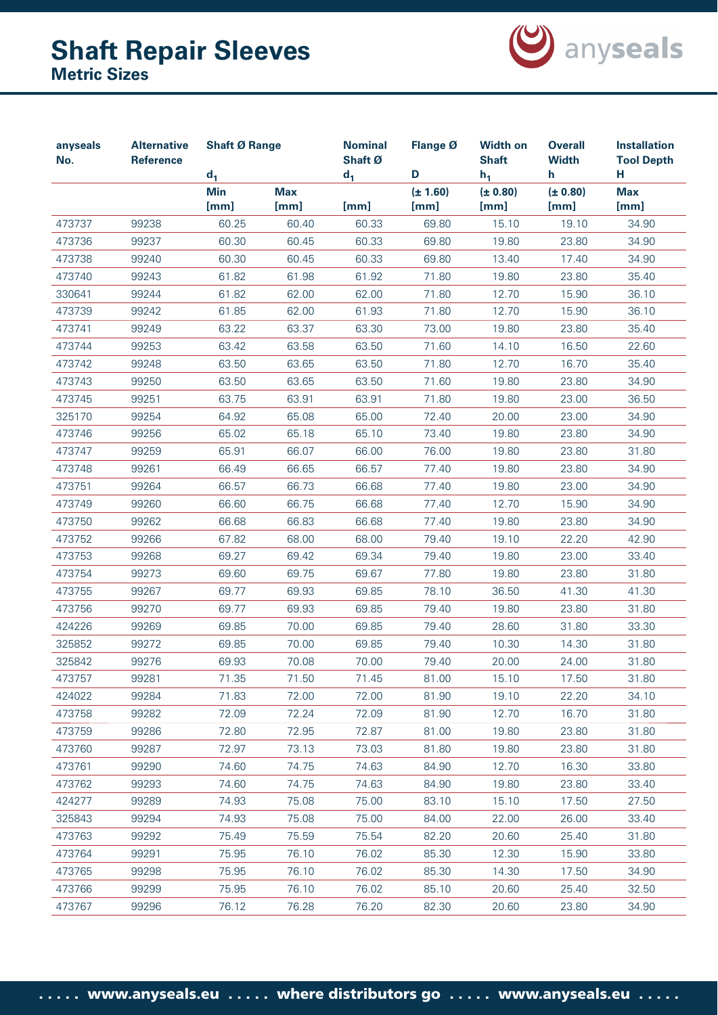

| <b>Alternative</b><br>anyseals<br>No.<br><b>Reference</b> |       | <b>Shaft Ø Range</b><br>$d_1$ |                    | <b>Nominal</b><br>Shaft Ø<br>$d_1$ | Flange Ø<br>D        | <b>Width on</b><br><b>Shaft</b><br>$h_1$ | <b>Overall</b><br><b>Width</b><br>h | <b>Installation</b><br><b>Tool Depth</b><br>н |
|-----------------------------------------------------------|-------|-------------------------------|--------------------|------------------------------------|----------------------|------------------------------------------|-------------------------------------|-----------------------------------------------|
|                                                           |       | <b>Min</b><br>[mm]            | <b>Max</b><br>[mm] | [mm]                               | $(\pm 1.60)$<br>[mm] | (± 0.80)<br>[mm]                         | (± 0.80)<br>[mm]                    | <b>Max</b><br>[mm]                            |
| 473737                                                    | 99238 | 60.25                         | 60.40              | 60.33                              | 69.80                | 15.10                                    | 19.10                               | 34.90                                         |
| 473736                                                    | 99237 | 60.30                         | 60.45              | 60.33                              | 69.80                | 19.80                                    | 23.80                               | 34.90                                         |
| 473738                                                    | 99240 | 60.30                         | 60.45              | 60.33                              | 69.80                | 13.40                                    | 17.40                               | 34.90                                         |
| 473740                                                    | 99243 | 61.82                         | 61.98              | 61.92                              | 71.80                | 19.80                                    | 23.80                               | 35.40                                         |
| 330641                                                    | 99244 | 61.82                         | 62.00              | 62.00                              | 71.80                | 12.70                                    | 15.90                               | 36.10                                         |
| 473739                                                    | 99242 | 61.85                         | 62.00              | 61.93                              | 71.80                | 12.70                                    | 15.90                               | 36.10                                         |
| 473741                                                    | 99249 | 63.22                         | 63.37              | 63.30                              | 73.00                | 19.80                                    | 23.80                               | 35.40                                         |
| 473744                                                    | 99253 | 63.42                         | 63.58              | 63.50                              | 71.60                | 14.10                                    | 16.50                               | 22.60                                         |
| 473742                                                    | 99248 | 63.50                         | 63.65              | 63.50                              | 71.80                | 12.70                                    | 16.70                               | 35.40                                         |
| 473743                                                    | 99250 | 63.50                         | 63.65              | 63.50                              | 71.60                | 19.80                                    | 23.80                               | 34.90                                         |
| 473745                                                    | 99251 | 63.75                         | 63.91              | 63.91                              | 71.80                | 19.80                                    | 23.00                               | 36.50                                         |
| 325170                                                    | 99254 | 64.92                         | 65.08              | 65.00                              | 72.40                | 20.00                                    | 23.00                               | 34.90                                         |
| 473746                                                    | 99256 | 65.02                         | 65.18              | 65.10                              | 73.40                | 19.80                                    | 23.80                               | 34.90                                         |
| 473747                                                    | 99259 | 65.91                         | 66.07              | 66.00                              | 76.00                | 19.80                                    | 23.80                               | 31.80                                         |
| 473748                                                    | 99261 | 66.49                         | 66.65              | 66.57                              | 77.40                | 19.80                                    | 23.80                               | 34.90                                         |
| 473751                                                    | 99264 | 66.57                         | 66.73              | 66.68                              | 77.40                | 19.80                                    | 23.00                               | 34.90                                         |
| 473749                                                    | 99260 | 66.60                         | 66.75              | 66.68                              | 77.40                | 12.70                                    | 15.90                               | 34.90                                         |
| 473750                                                    | 99262 | 66.68                         | 66.83              | 66.68                              | 77.40                | 19.80                                    | 23.80                               | 34.90                                         |
| 473752                                                    | 99266 | 67.82                         | 68.00              | 68.00                              | 79.40                | 19.10                                    | 22.20                               | 42.90                                         |
| 473753                                                    | 99268 | 69.27                         | 69.42              | 69.34                              | 79.40                | 19.80                                    | 23.00                               | 33.40                                         |
| 473754                                                    | 99273 | 69.60                         | 69.75              | 69.67                              | 77.80                | 19.80                                    | 23.80                               | 31.80                                         |
| 473755                                                    | 99267 | 69.77                         | 69.93              | 69.85                              | 78.10                | 36.50                                    | 41.30                               | 41.30                                         |
| 473756                                                    | 99270 | 69.77                         | 69.93              | 69.85                              | 79.40                | 19.80                                    | 23.80                               | 31.80                                         |
| 424226                                                    | 99269 | 69.85                         | 70.00              | 69.85                              | 79.40                | 28.60                                    | 31.80                               | 33.30                                         |
| 325852                                                    | 99272 | 69.85                         | 70.00              | 69.85                              | 79.40                | 10.30                                    | 14.30                               | 31.80                                         |
| 325842                                                    | 99276 | 69.93                         | 70.08              | 70.00                              | 79.40                | 20.00                                    | 24.00                               | 31.80                                         |
| 473757                                                    | 99281 | 71.35                         | 71.50              | 71.45                              | 81.00                | 15.10                                    | 17.50                               | 31.80                                         |
| 424022                                                    | 99284 | 71.83                         | 72.00              | 72.00                              | 81.90                | 19.10                                    | 22.20                               | 34.10                                         |
| 473758                                                    | 99282 | 72.09                         | 72.24              | 72.09                              | 81.90                | 12.70                                    | 16.70                               | 31.80                                         |
| 473759                                                    | 99286 | 72.80                         | 72.95              | 72.87                              | 81.00                | 19.80                                    | 23.80                               | 31.80                                         |
| 473760                                                    | 99287 | 72.97                         | 73.13              | 73.03                              | 81.80                | 19.80                                    | 23.80                               | 31.80                                         |
| 473761                                                    | 99290 | 74.60                         | 74.75              | 74.63                              | 84.90                | 12.70                                    | 16.30                               | 33.80                                         |
| 473762                                                    | 99293 | 74.60                         | 74.75              | 74.63                              | 84.90                | 19.80                                    | 23.80                               | 33.40                                         |
| 424277                                                    | 99289 | 74.93                         | 75.08              | 75.00                              | 83.10                | 15.10                                    | 17.50                               | 27.50                                         |
| 325843                                                    | 99294 | 74.93                         | 75.08              | 75.00                              | 84.00                | 22.00                                    | 26.00                               | 33.40                                         |
| 473763                                                    | 99292 | 75.49                         | 75.59              | 75.54                              | 82.20                | 20.60                                    | 25.40                               | 31.80                                         |
| 473764                                                    | 99291 | 75.95                         | 76.10              | 76.02                              | 85.30                | 12.30                                    | 15.90                               | 33.80                                         |
| 473765                                                    | 99298 | 75.95                         | 76.10              | 76.02                              | 85.30                | 14.30                                    | 17.50                               | 34.90                                         |
| 473766                                                    | 99299 | 75.95                         | 76.10              | 76.02                              | 85.10                | 20.60                                    | 25.40                               | 32.50                                         |
| 473767                                                    | 99296 | 76.12                         | 76.28              | 76.20                              | 82.30                | 20.60                                    | 23.80                               | 34.90                                         |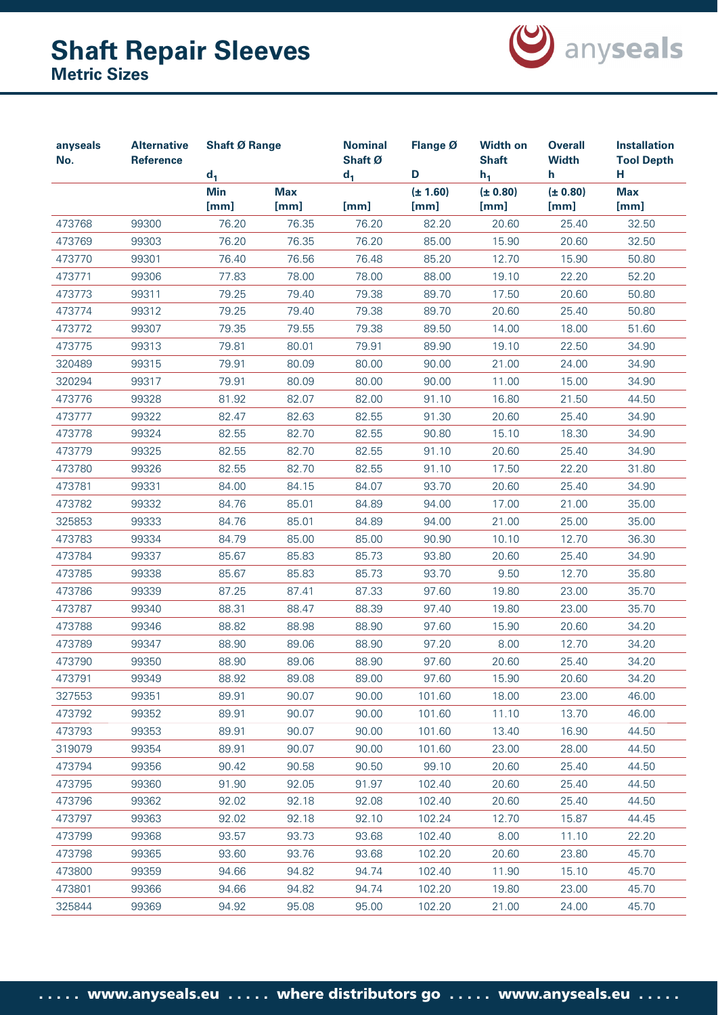

| anyseals<br>No. | <b>Alternative</b><br>Reference | <b>Shaft Ø Range</b><br>$d_1$ |                    | <b>Nominal</b><br>Shaft Ø<br>$d_1$ | Flange Ø<br>D        | <b>Width on</b><br><b>Shaft</b><br>$h_1$ | <b>Overall</b><br><b>Width</b><br>h. | <b>Installation</b><br><b>Tool Depth</b><br>н |
|-----------------|---------------------------------|-------------------------------|--------------------|------------------------------------|----------------------|------------------------------------------|--------------------------------------|-----------------------------------------------|
|                 |                                 | <b>Min</b><br>[mm]            | <b>Max</b><br>[mm] | [mm]                               | $(\pm 1.60)$<br>[mm] | (± 0.80)<br>[mm]                         | (± 0.80)<br>[mm]                     | <b>Max</b><br>[mm]                            |
| 473768          | 99300                           | 76.20                         | 76.35              | 76.20                              | 82.20                | 20.60                                    | 25.40                                | 32.50                                         |
| 473769          | 99303                           | 76.20                         | 76.35              | 76.20                              | 85.00                | 15.90                                    | 20.60                                | 32.50                                         |
| 473770          | 99301                           | 76.40                         | 76.56              | 76.48                              | 85.20                | 12.70                                    | 15.90                                | 50.80                                         |
| 473771          | 99306                           | 77.83                         | 78.00              | 78.00                              | 88.00                | 19.10                                    | 22.20                                | 52.20                                         |
| 473773          | 99311                           | 79.25                         | 79.40              | 79.38                              | 89.70                | 17.50                                    | 20.60                                | 50.80                                         |
| 473774          | 99312                           | 79.25                         | 79.40              | 79.38                              | 89.70                | 20.60                                    | 25.40                                | 50.80                                         |
| 473772          | 99307                           | 79.35                         | 79.55              | 79.38                              | 89.50                | 14.00                                    | 18.00                                | 51.60                                         |
| 473775          | 99313                           | 79.81                         | 80.01              | 79.91                              | 89.90                | 19.10                                    | 22.50                                | 34.90                                         |
| 320489          | 99315                           | 79.91                         | 80.09              | 80.00                              | 90.00                | 21.00                                    | 24.00                                | 34.90                                         |
| 320294          | 99317                           | 79.91                         | 80.09              | 80.00                              | 90.00                | 11.00                                    | 15.00                                | 34.90                                         |
| 473776          | 99328                           | 81.92                         | 82.07              | 82.00                              | 91.10                | 16.80                                    | 21.50                                | 44.50                                         |
| 473777          | 99322                           | 82.47                         | 82.63              | 82.55                              | 91.30                | 20.60                                    | 25.40                                | 34.90                                         |
| 473778          | 99324                           | 82.55                         | 82.70              | 82.55                              | 90.80                | 15.10                                    | 18.30                                | 34.90                                         |
| 473779          | 99325                           | 82.55                         | 82.70              | 82.55                              | 91.10                | 20.60                                    | 25.40                                | 34.90                                         |
| 473780          | 99326                           | 82.55                         | 82.70              | 82.55                              | 91.10                | 17.50                                    | 22.20                                | 31.80                                         |
| 473781          | 99331                           | 84.00                         | 84.15              | 84.07                              | 93.70                | 20.60                                    | 25.40                                | 34.90                                         |
| 473782          | 99332                           | 84.76                         | 85.01              | 84.89                              | 94.00                | 17.00                                    | 21.00                                | 35.00                                         |
| 325853          | 99333                           | 84.76                         | 85.01              | 84.89                              | 94.00                | 21.00                                    | 25.00                                | 35.00                                         |
| 473783          | 99334                           | 84.79                         | 85.00              | 85.00                              | 90.90                | 10.10                                    | 12.70                                | 36.30                                         |
| 473784          | 99337                           | 85.67                         | 85.83              | 85.73                              | 93.80                | 20.60                                    | 25.40                                | 34.90                                         |
| 473785          | 99338                           | 85.67                         | 85.83              | 85.73                              | 93.70                | 9.50                                     | 12.70                                | 35.80                                         |
| 473786          | 99339                           | 87.25                         | 87.41              | 87.33                              | 97.60                | 19.80                                    | 23.00                                | 35.70                                         |
| 473787          | 99340                           | 88.31                         | 88.47              | 88.39                              | 97.40                | 19.80                                    | 23.00                                | 35.70                                         |
| 473788          | 99346                           | 88.82                         | 88.98              | 88.90                              | 97.60                | 15.90                                    | 20.60                                | 34.20                                         |
| 473789          | 99347                           | 88.90                         | 89.06              | 88.90                              | 97.20                | 8.00                                     | 12.70                                | 34.20                                         |
| 473790          | 99350                           | 88.90                         | 89.06              | 88.90                              | 97.60                | 20.60                                    | 25.40                                | 34.20                                         |
| 473791          | 99349                           | 88.92                         | 89.08              | 89.00                              | 97.60                | 15.90                                    | 20.60                                | 34.20                                         |
| 327553          | 99351                           | 89.91                         | 90.07              | 90.00                              | 101.60               | 18.00                                    | 23.00                                | 46.00                                         |
| 473792          | 99352                           | 89.91                         | 90.07              | 90.00                              | 101.60               | 11.10                                    | 13.70                                | 46.00                                         |
| 473793          | 99353                           | 89.91                         | 90.07              | 90.00                              | 101.60               | 13.40                                    | 16.90                                | 44.50                                         |
| 319079          | 99354                           | 89.91                         | 90.07              | 90.00                              | 101.60               | 23.00                                    | 28.00                                | 44.50                                         |
| 473794          | 99356                           | 90.42                         | 90.58              | 90.50                              | 99.10                | 20.60                                    | 25.40                                | 44.50                                         |
| 473795          | 99360                           | 91.90                         | 92.05              | 91.97                              | 102.40               | 20.60                                    | 25.40                                | 44.50                                         |
| 473796          | 99362                           | 92.02                         | 92.18              | 92.08                              | 102.40               | 20.60                                    | 25.40                                | 44.50                                         |
| 473797          | 99363                           | 92.02                         | 92.18              | 92.10                              | 102.24               | 12.70                                    | 15.87                                | 44.45                                         |
| 473799          | 99368                           | 93.57                         | 93.73              | 93.68                              | 102.40               | 8.00                                     | 11.10                                | 22.20                                         |
| 473798          | 99365                           | 93.60                         | 93.76              | 93.68                              | 102.20               | 20.60                                    | 23.80                                | 45.70                                         |
| 473800          | 99359                           | 94.66                         | 94.82              | 94.74                              | 102.40               | 11.90                                    | 15.10                                | 45.70                                         |
| 473801          | 99366                           | 94.66                         | 94.82              | 94.74                              | 102.20               | 19.80                                    | 23.00                                | 45.70                                         |
| 325844          | 99369                           | 94.92                         | 95.08              | 95.00                              | 102.20               | 21.00                                    | 24.00                                | 45.70                                         |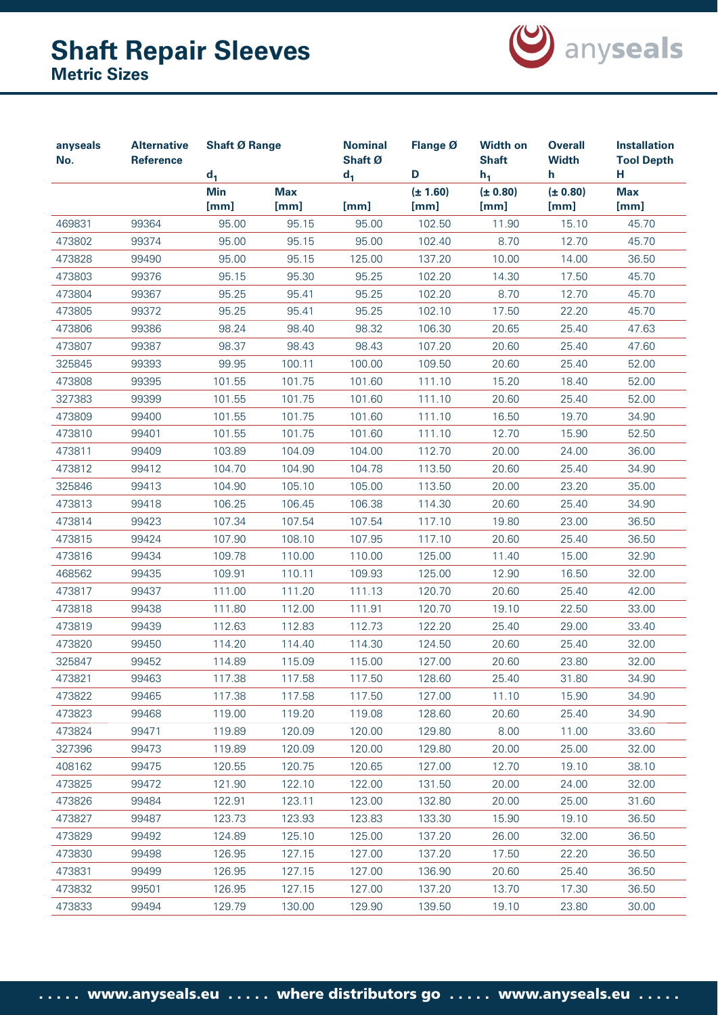

| anyseals<br>No. | <b>Alternative</b><br><b>Reference</b> |                    | <b>Shaft Ø Range</b><br>$d_1$ |               | Flange Ø<br>D        | <b>Width on</b><br><b>Shaft</b><br>$h_1$ | <b>Overall</b><br><b>Width</b><br>h | <b>Installation</b><br><b>Tool Depth</b><br>н |
|-----------------|----------------------------------------|--------------------|-------------------------------|---------------|----------------------|------------------------------------------|-------------------------------------|-----------------------------------------------|
|                 |                                        | <b>Min</b><br>[mm] | <b>Max</b><br>[mm]            | $d_1$<br>[mm] | $(\pm 1.60)$<br>[mm] | (± 0.80)<br>[mm]                         | (± 0.80)<br>[mm]                    | <b>Max</b><br>[mm]                            |
| 469831          | 99364                                  | 95.00              | 95.15                         | 95.00         | 102.50               | 11.90                                    | 15.10                               | 45.70                                         |
| 473802          | 99374                                  | 95.00              | 95.15                         | 95.00         | 102.40               | 8.70                                     | 12.70                               | 45.70                                         |
| 473828          | 99490                                  | 95.00              | 95.15                         | 125.00        | 137.20               | 10.00                                    | 14.00                               | 36.50                                         |
| 473803          | 99376                                  | 95.15              | 95.30                         | 95.25         | 102.20               | 14.30                                    | 17.50                               | 45.70                                         |
| 473804          | 99367                                  | 95.25              | 95.41                         | 95.25         | 102.20               | 8.70                                     | 12.70                               | 45.70                                         |
| 473805          | 99372                                  | 95.25              | 95.41                         | 95.25         | 102.10               | 17.50                                    | 22.20                               | 45.70                                         |
| 473806          | 99386                                  | 98.24              | 98.40                         | 98.32         | 106.30               | 20.65                                    | 25.40                               | 47.63                                         |
| 473807          | 99387                                  | 98.37              | 98.43                         | 98.43         | 107.20               | 20.60                                    | 25.40                               | 47.60                                         |
| 325845          | 99393                                  | 99.95              | 100.11                        | 100.00        | 109.50               | 20.60                                    | 25.40                               | 52.00                                         |
| 473808          | 99395                                  | 101.55             | 101.75                        | 101.60        | 111.10               | 15.20                                    | 18.40                               | 52.00                                         |
| 327383          | 99399                                  | 101.55             | 101.75                        | 101.60        | 111.10               | 20.60                                    | 25.40                               | 52.00                                         |
| 473809          | 99400                                  | 101.55             | 101.75                        | 101.60        | 111.10               | 16.50                                    | 19.70                               | 34.90                                         |
| 473810          | 99401                                  | 101.55             | 101.75                        | 101.60        | 111.10               | 12.70                                    | 15.90                               | 52.50                                         |
| 473811          | 99409                                  | 103.89             | 104.09                        | 104.00        | 112.70               | 20.00                                    | 24.00                               | 36.00                                         |
| 473812          | 99412                                  | 104.70             | 104.90                        | 104.78        | 113.50               | 20.60                                    | 25.40                               | 34.90                                         |
| 325846          | 99413                                  | 104.90             | 105.10                        | 105.00        | 113.50               | 20.00                                    | 23.20                               | 35.00                                         |
| 473813          | 99418                                  | 106.25             | 106.45                        | 106.38        | 114.30               | 20.60                                    | 25.40                               | 34.90                                         |
| 473814          | 99423                                  | 107.34             | 107.54                        | 107.54        | 117.10               | 19.80                                    | 23.00                               | 36.50                                         |
| 473815          | 99424                                  | 107.90             | 108.10                        | 107.95        | 117.10               | 20.60                                    | 25.40                               | 36.50                                         |
| 473816          | 99434                                  | 109.78             | 110.00                        | 110.00        | 125.00               | 11.40                                    | 15.00                               | 32.90                                         |
| 468562          | 99435                                  | 109.91             | 110.11                        | 109.93        | 125.00               | 12.90                                    | 16.50                               | 32.00                                         |
| 473817          | 99437                                  | 111.00             | 111.20                        | 111.13        | 120.70               | 20.60                                    | 25.40                               | 42.00                                         |
| 473818          | 99438                                  | 111.80             | 112.00                        | 111.91        | 120.70               | 19.10                                    | 22.50                               | 33.00                                         |
| 473819          | 99439                                  | 112.63             | 112.83                        | 112.73        | 122.20               | 25.40                                    | 29.00                               | 33.40                                         |
| 473820          | 99450                                  | 114.20             | 114.40                        | 114.30        | 124.50               | 20.60                                    | 25.40                               | 32.00                                         |
| 325847          | 99452                                  | 114.89             | 115.09                        | 115.00        | 127.00               | 20.60                                    | 23.80                               | 32.00                                         |
| 473821          | 99463                                  | 117.38             | 117.58                        | 117.50        | 128.60               | 25.40                                    | 31.80                               | 34.90                                         |
| 473822          | 99465                                  | 117.38             | 117.58                        | 117.50        | 127.00               | 11.10                                    | 15.90                               | 34.90                                         |
| 473823          | 99468                                  | 119.00             | 119.20                        | 119.08        | 128.60               | 20.60                                    | 25.40                               | 34.90                                         |
| 473824          | 99471                                  | 119.89             | 120.09                        | 120.00        | 129.80               | 8.00                                     | 11.00                               | 33.60                                         |
| 327396          | 99473                                  | 119.89             | 120.09                        | 120.00        | 129.80               | 20.00                                    | 25.00                               | 32.00                                         |
| 408162          | 99475                                  | 120.55             | 120.75                        | 120.65        | 127.00               | 12.70                                    | 19.10                               | 38.10                                         |
| 473825          | 99472                                  | 121.90             | 122.10                        | 122.00        | 131.50               | 20.00                                    | 24.00                               | 32.00                                         |
| 473826          | 99484                                  | 122.91             | 123.11                        | 123.00        | 132.80               | 20.00                                    | 25.00                               | 31.60                                         |
| 473827          | 99487                                  | 123.73             | 123.93                        | 123.83        | 133.30               | 15.90                                    | 19.10                               | 36.50                                         |
| 473829          | 99492                                  | 124.89             | 125.10                        | 125.00        | 137.20               | 26.00                                    | 32.00                               | 36.50                                         |
| 473830          | 99498                                  | 126.95             | 127.15                        | 127.00        | 137.20               | 17.50                                    | 22.20                               | 36.50                                         |
| 473831          | 99499                                  | 126.95             | 127.15                        | 127.00        | 136.90               | 20.60                                    | 25.40                               | 36.50                                         |
| 473832          | 99501                                  | 126.95             | 127.15                        | 127.00        | 137.20               | 13.70                                    | 17.30                               | 36.50                                         |
| 473833          | 99494                                  | 129.79             | 130.00                        | 129.90        | 139.50               | 19.10                                    | 23.80                               | 30.00                                         |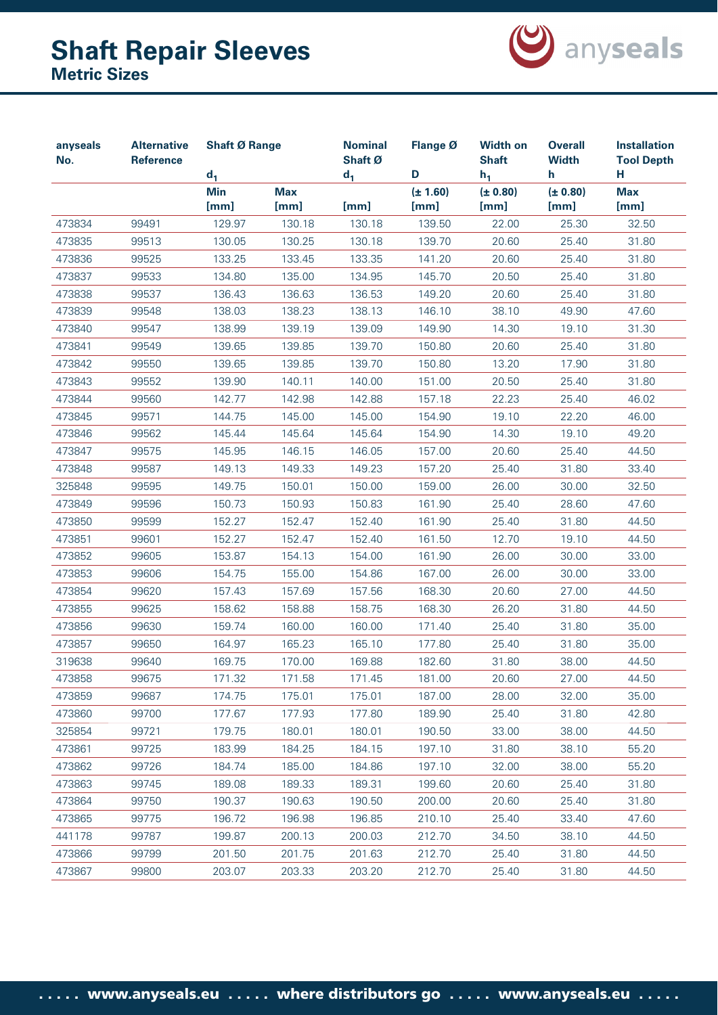

| anyseals<br>No. | <b>Alternative</b><br><b>Reference</b> | <b>Shaft Ø Range</b>         |            | <b>Nominal</b><br>Shaft Ø | Flange Ø<br>D | <b>Width on</b><br><b>Shaft</b> | <b>Overall</b><br><b>Width</b><br>h | <b>Installation</b><br><b>Tool Depth</b><br>н |
|-----------------|----------------------------------------|------------------------------|------------|---------------------------|---------------|---------------------------------|-------------------------------------|-----------------------------------------------|
|                 |                                        | d <sub>1</sub><br><b>Min</b> | <b>Max</b> | $d_1$                     | $(\pm 1.60)$  | $h_1$<br>(± 0.80)               | (± 0.80)                            | <b>Max</b>                                    |
|                 |                                        | [mm]                         | [mm]       | [mm]                      | [mm]          | [mm]                            | [mm]                                | [mm]                                          |
| 473834          | 99491                                  | 129.97                       | 130.18     | 130.18                    | 139.50        | 22.00                           | 25.30                               | 32.50                                         |
| 473835          | 99513                                  | 130.05                       | 130.25     | 130.18                    | 139.70        | 20.60                           | 25.40                               | 31.80                                         |
| 473836          | 99525                                  | 133.25                       | 133.45     | 133.35                    | 141.20        | 20.60                           | 25.40                               | 31.80                                         |
| 473837          | 99533                                  | 134.80                       | 135.00     | 134.95                    | 145.70        | 20.50                           | 25.40                               | 31.80                                         |
| 473838          | 99537                                  | 136.43                       | 136.63     | 136.53                    | 149.20        | 20.60                           | 25.40                               | 31.80                                         |
| 473839          | 99548                                  | 138.03                       | 138.23     | 138.13                    | 146.10        | 38.10                           | 49.90                               | 47.60                                         |
| 473840          | 99547                                  | 138.99                       | 139.19     | 139.09                    | 149.90        | 14.30                           | 19.10                               | 31.30                                         |
| 473841          | 99549                                  | 139.65                       | 139.85     | 139.70                    | 150.80        | 20.60                           | 25.40                               | 31.80                                         |
| 473842          | 99550                                  | 139.65                       | 139.85     | 139.70                    | 150.80        | 13.20                           | 17.90                               | 31.80                                         |
| 473843          | 99552                                  | 139.90                       | 140.11     | 140.00                    | 151.00        | 20.50                           | 25.40                               | 31.80                                         |
| 473844          | 99560                                  | 142.77                       | 142.98     | 142.88                    | 157.18        | 22.23                           | 25.40                               | 46.02                                         |
| 473845          | 99571                                  | 144.75                       | 145.00     | 145.00                    | 154.90        | 19.10                           | 22.20                               | 46.00                                         |
| 473846          | 99562                                  | 145.44                       | 145.64     | 145.64                    | 154.90        | 14.30                           | 19.10                               | 49.20                                         |
| 473847          | 99575                                  | 145.95                       | 146.15     | 146.05                    | 157.00        | 20.60                           | 25.40                               | 44.50                                         |
| 473848          | 99587                                  | 149.13                       | 149.33     | 149.23                    | 157.20        | 25.40                           | 31.80                               | 33.40                                         |
| 325848          | 99595                                  | 149.75                       | 150.01     | 150.00                    | 159.00        | 26.00                           | 30.00                               | 32.50                                         |
| 473849          | 99596                                  | 150.73                       | 150.93     | 150.83                    | 161.90        | 25.40                           | 28.60                               | 47.60                                         |
| 473850          | 99599                                  | 152.27                       | 152.47     | 152.40                    | 161.90        | 25.40                           | 31.80                               | 44.50                                         |
| 473851          | 99601                                  | 152.27                       | 152.47     | 152.40                    | 161.50        | 12.70                           | 19.10                               | 44.50                                         |
| 473852          | 99605                                  | 153.87                       | 154.13     | 154.00                    | 161.90        | 26.00                           | 30.00                               | 33.00                                         |
| 473853          | 99606                                  | 154.75                       | 155.00     | 154.86                    | 167.00        | 26.00                           | 30.00                               | 33.00                                         |
| 473854          | 99620                                  | 157.43                       | 157.69     | 157.56                    | 168.30        | 20.60                           | 27.00                               | 44.50                                         |
| 473855          | 99625                                  | 158.62                       | 158.88     | 158.75                    | 168.30        | 26.20                           | 31.80                               | 44.50                                         |
| 473856          | 99630                                  | 159.74                       | 160.00     | 160.00                    | 171.40        | 25.40                           | 31.80                               | 35.00                                         |
| 473857          | 99650                                  | 164.97                       | 165.23     | 165.10                    | 177.80        | 25.40                           | 31.80                               | 35.00                                         |
| 319638          | 99640                                  | 169.75                       | 170.00     | 169.88                    | 182.60        | 31.80                           | 38.00                               | 44.50                                         |
| 473858          | 99675                                  | 171.32                       | 171.58     | 171.45                    | 181.00        | 20.60                           | 27.00                               | 44.50                                         |
| 473859          | 99687                                  | 174.75                       | 175.01     | 175.01                    | 187.00        | 28.00                           | 32.00                               | 35.00                                         |
| 473860          | 99700                                  | 177.67                       | 177.93     | 177.80                    | 189.90        | 25.40                           | 31.80                               | 42.80                                         |
| 325854          | 99721                                  | 179.75                       | 180.01     | 180.01                    | 190.50        | 33.00                           | 38.00                               | 44.50                                         |
| 473861          | 99725                                  | 183.99                       | 184.25     | 184.15                    | 197.10        | 31.80                           | 38.10                               | 55.20                                         |
| 473862          | 99726                                  | 184.74                       | 185.00     | 184.86                    | 197.10        | 32.00                           | 38.00                               | 55.20                                         |
| 473863          | 99745                                  | 189.08                       | 189.33     | 189.31                    | 199.60        | 20.60                           | 25.40                               | 31.80                                         |
| 473864          | 99750                                  | 190.37                       | 190.63     | 190.50                    | 200.00        | 20.60                           | 25.40                               | 31.80                                         |
| 473865          | 99775                                  | 196.72                       | 196.98     | 196.85                    | 210.10        | 25.40                           | 33.40                               | 47.60                                         |
| 441178          | 99787                                  | 199.87                       | 200.13     | 200.03                    | 212.70        | 34.50                           | 38.10                               | 44.50                                         |
| 473866          | 99799                                  | 201.50                       | 201.75     | 201.63                    | 212.70        | 25.40                           | 31.80                               | 44.50                                         |
| 473867          | 99800                                  | 203.07                       | 203.33     | 203.20                    | 212.70        | 25.40                           | 31.80                               | 44.50                                         |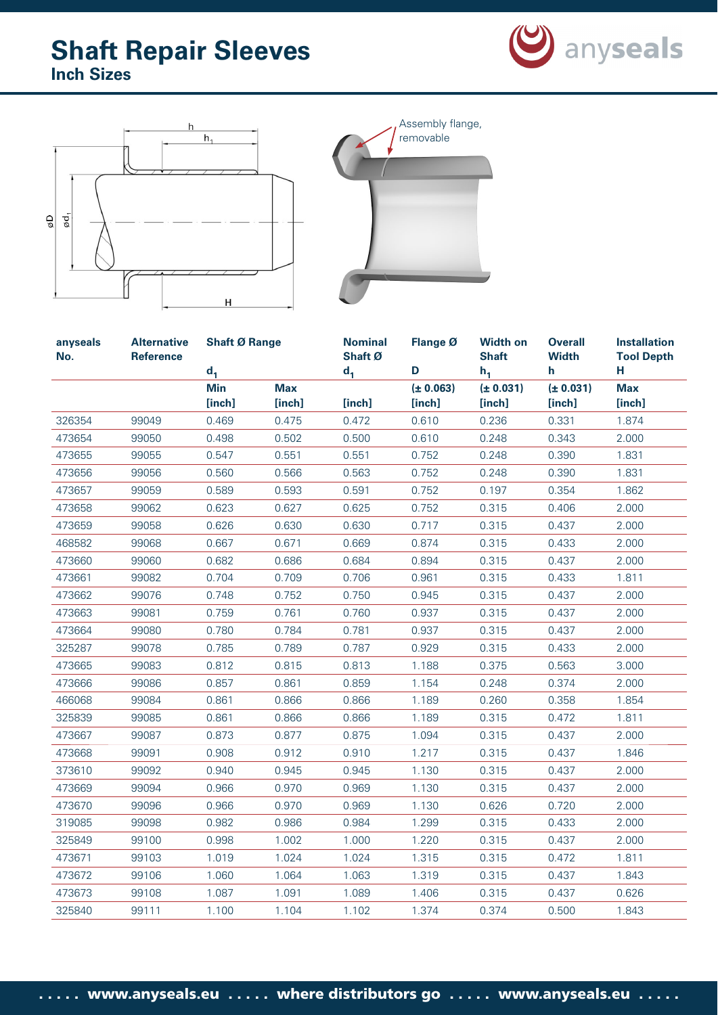





| anyseals<br>No. | <b>Alternative</b><br><b>Reference</b> | <b>Shaft Ø Range</b> |            | <b>Nominal</b><br>Shaft Ø | Flange Ø       | <b>Width on</b><br><b>Shaft</b> | <b>Overall</b><br><b>Width</b> | <b>Installation</b><br><b>Tool Depth</b> |
|-----------------|----------------------------------------|----------------------|------------|---------------------------|----------------|---------------------------------|--------------------------------|------------------------------------------|
|                 |                                        | $d_1$<br><b>Min</b>  | <b>Max</b> | $d_1$                     | D<br>(± 0.063) | $h_1$<br>(± 0.031)              | h<br>(± 0.031)                 | н<br><b>Max</b>                          |
|                 |                                        | [inch]               | [inch]     | [inch]                    | [inch]         | [inch]                          | [inch]                         | [inch]                                   |
| 326354          | 99049                                  | 0.469                | 0.475      | 0.472                     | 0.610          | 0.236                           | 0.331                          | 1.874                                    |
| 473654          | 99050                                  | 0.498                | 0.502      | 0.500                     | 0.610          | 0.248                           | 0.343                          | 2.000                                    |
| 473655          | 99055                                  | 0.547                | 0.551      | 0.551                     | 0.752          | 0.248                           | 0.390                          | 1.831                                    |
| 473656          | 99056                                  | 0.560                | 0.566      | 0.563                     | 0.752          | 0.248                           | 0.390                          | 1.831                                    |
| 473657          | 99059                                  | 0.589                | 0.593      | 0.591                     | 0.752          | 0.197                           | 0.354                          | 1.862                                    |
| 473658          | 99062                                  | 0.623                | 0.627      | 0.625                     | 0.752          | 0.315                           | 0.406                          | 2.000                                    |
| 473659          | 99058                                  | 0.626                | 0.630      | 0.630                     | 0.717          | 0.315                           | 0.437                          | 2.000                                    |
| 468582          | 99068                                  | 0.667                | 0.671      | 0.669                     | 0.874          | 0.315                           | 0.433                          | 2.000                                    |
| 473660          | 99060                                  | 0.682                | 0.686      | 0.684                     | 0.894          | 0.315                           | 0.437                          | 2.000                                    |
| 473661          | 99082                                  | 0.704                | 0.709      | 0.706                     | 0.961          | 0.315                           | 0.433                          | 1.811                                    |
| 473662          | 99076                                  | 0.748                | 0.752      | 0.750                     | 0.945          | 0.315                           | 0.437                          | 2.000                                    |
| 473663          | 99081                                  | 0.759                | 0.761      | 0.760                     | 0.937          | 0.315                           | 0.437                          | 2.000                                    |
| 473664          | 99080                                  | 0.780                | 0.784      | 0.781                     | 0.937          | 0.315                           | 0.437                          | 2.000                                    |
| 325287          | 99078                                  | 0.785                | 0.789      | 0.787                     | 0.929          | 0.315                           | 0.433                          | 2.000                                    |
| 473665          | 99083                                  | 0.812                | 0.815      | 0.813                     | 1.188          | 0.375                           | 0.563                          | 3.000                                    |
| 473666          | 99086                                  | 0.857                | 0.861      | 0.859                     | 1.154          | 0.248                           | 0.374                          | 2.000                                    |
| 466068          | 99084                                  | 0.861                | 0.866      | 0.866                     | 1.189          | 0.260                           | 0.358                          | 1.854                                    |
| 325839          | 99085                                  | 0.861                | 0.866      | 0.866                     | 1.189          | 0.315                           | 0.472                          | 1.811                                    |
| 473667          | 99087                                  | 0.873                | 0.877      | 0.875                     | 1.094          | 0.315                           | 0.437                          | 2.000                                    |
| 473668          | 99091                                  | 0.908                | 0.912      | 0.910                     | 1.217          | 0.315                           | 0.437                          | 1.846                                    |
| 373610          | 99092                                  | 0.940                | 0.945      | 0.945                     | 1.130          | 0.315                           | 0.437                          | 2.000                                    |
| 473669          | 99094                                  | 0.966                | 0.970      | 0.969                     | 1.130          | 0.315                           | 0.437                          | 2.000                                    |
| 473670          | 99096                                  | 0.966                | 0.970      | 0.969                     | 1.130          | 0.626                           | 0.720                          | 2.000                                    |
| 319085          | 99098                                  | 0.982                | 0.986      | 0.984                     | 1.299          | 0.315                           | 0.433                          | 2.000                                    |
| 325849          | 99100                                  | 0.998                | 1.002      | 1.000                     | 1.220          | 0.315                           | 0.437                          | 2.000                                    |
| 473671          | 99103                                  | 1.019                | 1.024      | 1.024                     | 1.315          | 0.315                           | 0.472                          | 1.811                                    |
| 473672          | 99106                                  | 1.060                | 1.064      | 1.063                     | 1.319          | 0.315                           | 0.437                          | 1.843                                    |
| 473673          | 99108                                  | 1.087                | 1.091      | 1.089                     | 1.406          | 0.315                           | 0.437                          | 0.626                                    |
| 325840          | 99111                                  | 1.100                | 1.104      | 1.102                     | 1.374          | 0.374                           | 0.500                          | 1.843                                    |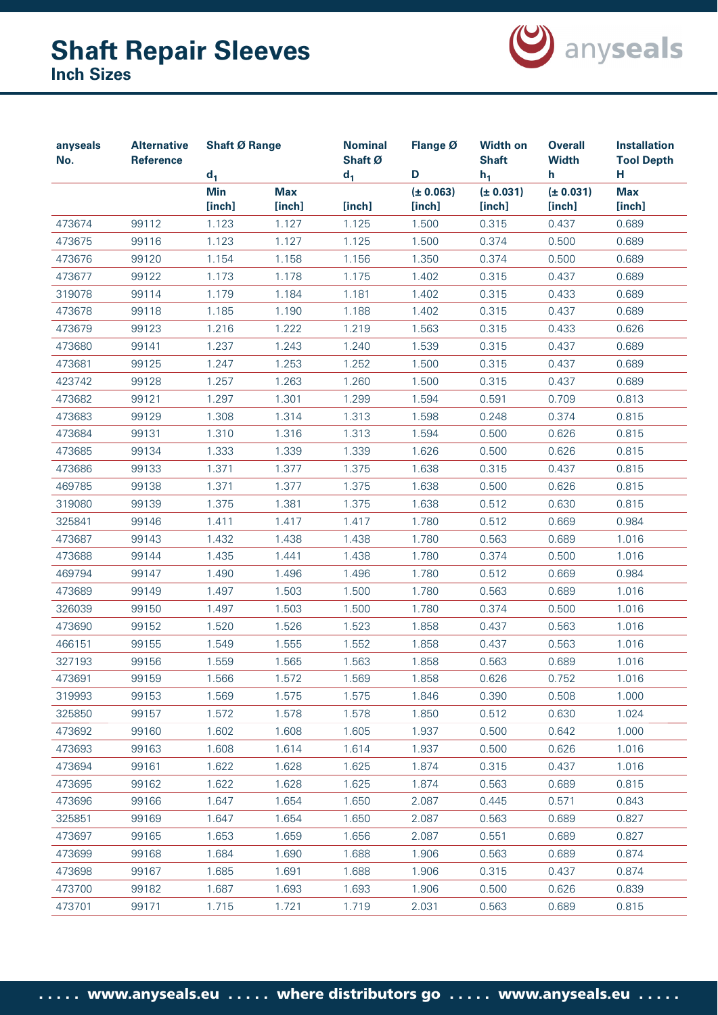

| anyseals<br>No. | <b>Alternative</b><br><b>Reference</b> | <b>Shaft Ø Range</b> |                      | <b>Nominal</b><br>Shaft Ø | Flange Ø<br>D       | <b>Width on</b><br><b>Shaft</b> | <b>Overall</b><br><b>Width</b> | <b>Installation</b><br><b>Tool Depth</b> |
|-----------------|----------------------------------------|----------------------|----------------------|---------------------------|---------------------|---------------------------------|--------------------------------|------------------------------------------|
|                 |                                        | d <sub>1</sub>       |                      | $d_1$                     |                     | $h_1$                           | h                              | н                                        |
|                 |                                        | <b>Min</b><br>[inch] | <b>Max</b><br>[inch] | [inch]                    | (± 0.063)<br>[inch] | (± 0.031)<br>[inch]             | (± 0.031)<br>[inch]            | <b>Max</b><br>[inch]                     |
| 473674          | 99112                                  | 1.123                | 1.127                | 1.125                     | 1.500               | 0.315                           | 0.437                          | 0.689                                    |
| 473675          | 99116                                  | 1.123                | 1.127                | 1.125                     | 1.500               | 0.374                           | 0.500                          | 0.689                                    |
| 473676          | 99120                                  | 1.154                | 1.158                | 1.156                     | 1.350               | 0.374                           | 0.500                          | 0.689                                    |
| 473677          | 99122                                  | 1.173                | 1.178                | 1.175                     | 1.402               | 0.315                           | 0.437                          | 0.689                                    |
| 319078          | 99114                                  | 1.179                | 1.184                | 1.181                     | 1.402               | 0.315                           | 0.433                          | 0.689                                    |
| 473678          | 99118                                  | 1.185                | 1.190                | 1.188                     | 1.402               | 0.315                           | 0.437                          | 0.689                                    |
| 473679          | 99123                                  | 1.216                | 1.222                | 1.219                     | 1.563               | 0.315                           | 0.433                          | 0.626                                    |
| 473680          | 99141                                  | 1.237                | 1.243                | 1.240                     | 1.539               | 0.315                           | 0.437                          | 0.689                                    |
| 473681          | 99125                                  | 1.247                | 1.253                | 1.252                     | 1.500               | 0.315                           | 0.437                          | 0.689                                    |
| 423742          | 99128                                  | 1.257                | 1.263                | 1.260                     | 1.500               | 0.315                           | 0.437                          | 0.689                                    |
| 473682          | 99121                                  | 1.297                | 1.301                | 1.299                     | 1.594               | 0.591                           | 0.709                          | 0.813                                    |
| 473683          | 99129                                  | 1.308                | 1.314                | 1.313                     | 1.598               | 0.248                           | 0.374                          | 0.815                                    |
| 473684          | 99131                                  | 1.310                | 1.316                | 1.313                     | 1.594               | 0.500                           | 0.626                          | 0.815                                    |
| 473685          | 99134                                  | 1.333                | 1.339                | 1.339                     | 1.626               | 0.500                           | 0.626                          | 0.815                                    |
| 473686          | 99133                                  | 1.371                | 1.377                | 1.375                     | 1.638               | 0.315                           | 0.437                          | 0.815                                    |
| 469785          | 99138                                  | 1.371                | 1.377                | 1.375                     | 1.638               | 0.500                           | 0.626                          | 0.815                                    |
| 319080          | 99139                                  | 1.375                | 1.381                | 1.375                     | 1.638               | 0.512                           | 0.630                          | 0.815                                    |
| 325841          | 99146                                  | 1.411                | 1.417                | 1.417                     | 1.780               | 0.512                           | 0.669                          | 0.984                                    |
| 473687          | 99143                                  | 1.432                | 1.438                | 1.438                     | 1.780               | 0.563                           | 0.689                          | 1.016                                    |
| 473688          | 99144                                  | 1.435                | 1.441                | 1.438                     | 1.780               | 0.374                           | 0.500                          | 1.016                                    |
| 469794          | 99147                                  | 1.490                | 1.496                | 1.496                     | 1.780               | 0.512                           | 0.669                          | 0.984                                    |
| 473689          | 99149                                  | 1.497                | 1.503                | 1.500                     | 1.780               | 0.563                           | 0.689                          | 1.016                                    |
| 326039          | 99150                                  | 1.497                | 1.503                | 1.500                     | 1.780               | 0.374                           | 0.500                          | 1.016                                    |
| 473690          | 99152                                  | 1.520                | 1.526                | 1.523                     | 1.858               | 0.437                           | 0.563                          | 1.016                                    |
| 466151          | 99155                                  | 1.549                | 1.555                | 1.552                     | 1.858               | 0.437                           | 0.563                          | 1.016                                    |
| 327193          | 99156                                  | 1.559                | 1.565                | 1.563                     | 1.858               | 0.563                           | 0.689                          | 1.016                                    |
| 473691          | 99159                                  | 1.566                | 1.572                | 1.569                     | 1.858               | 0.626                           | 0.752                          | 1.016                                    |
| 319993          | 99153                                  | 1.569                | 1.575                | 1.575                     | 1.846               | 0.390                           | 0.508                          | 1.000                                    |
| 325850          | 99157                                  | 1.572                | 1.578                | 1.578                     | 1.850               | 0.512                           | 0.630                          | 1.024                                    |
| 473692          | 99160                                  | 1.602                | 1.608                | 1.605                     | 1.937               | 0.500                           | 0.642                          | 1.000                                    |
| 473693          | 99163                                  | 1.608                | 1.614                | 1.614                     | 1.937               | 0.500                           | 0.626                          | 1.016                                    |
| 473694          | 99161                                  | 1.622                | 1.628                | 1.625                     | 1.874               | 0.315                           | 0.437                          | 1.016                                    |
| 473695          | 99162                                  | 1.622                | 1.628                | 1.625                     | 1.874               | 0.563                           | 0.689                          | 0.815                                    |
| 473696          | 99166                                  | 1.647                | 1.654                | 1.650                     | 2.087               | 0.445                           | 0.571                          | 0.843                                    |
| 325851          | 99169                                  | 1.647                | 1.654                | 1.650                     | 2.087               | 0.563                           | 0.689                          | 0.827                                    |
| 473697          | 99165                                  | 1.653                | 1.659                | 1.656                     | 2.087               | 0.551                           | 0.689                          | 0.827                                    |
| 473699          | 99168                                  | 1.684                | 1.690                | 1.688                     | 1.906               | 0.563                           | 0.689                          | 0.874                                    |
| 473698          | 99167                                  | 1.685                | 1.691                | 1.688                     | 1.906               | 0.315                           | 0.437                          | 0.874                                    |
| 473700          | 99182                                  | 1.687                | 1.693                | 1.693                     | 1.906               | 0.500                           | 0.626                          | 0.839                                    |
| 473701          | 99171                                  | 1.715                | 1.721                | 1.719                     | 2.031               | 0.563                           | 0.689                          | 0.815                                    |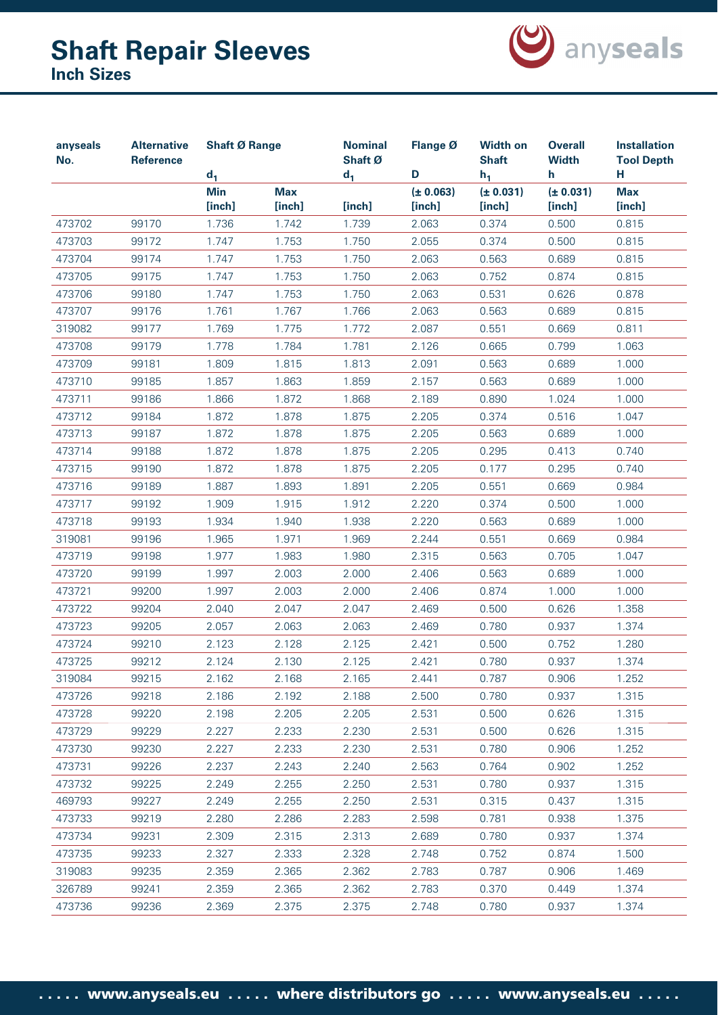

| anyseals<br>No. | <b>Alternative</b><br>Reference | <b>Shaft Ø Range</b>          |                      | <b>Nominal</b><br>Shaft Ø<br>$d_1$ | Flange Ø<br>D       | <b>Width on</b><br><b>Shaft</b> | <b>Overall</b><br><b>Width</b><br>h. | <b>Installation</b><br><b>Tool Depth</b><br>н |
|-----------------|---------------------------------|-------------------------------|----------------------|------------------------------------|---------------------|---------------------------------|--------------------------------------|-----------------------------------------------|
|                 |                                 | $d_1$<br><b>Min</b><br>[inch] | <b>Max</b><br>[inch] | [inch]                             | (± 0.063)<br>[inch] | $h_1$<br>(± 0.031)<br>[inch]    | (± 0.031)<br>[inch]                  | <b>Max</b><br>[inch]                          |
| 473702          | 99170                           | 1.736                         | 1.742                | 1.739                              | 2.063               | 0.374                           | 0.500                                | 0.815                                         |
| 473703          | 99172                           | 1.747                         | 1.753                | 1.750                              | 2.055               | 0.374                           | 0.500                                | 0.815                                         |
| 473704          | 99174                           | 1.747                         | 1.753                | 1.750                              | 2.063               | 0.563                           | 0.689                                | 0.815                                         |
| 473705          | 99175                           | 1.747                         | 1.753                | 1.750                              | 2.063               | 0.752                           | 0.874                                | 0.815                                         |
| 473706          | 99180                           | 1.747                         | 1.753                | 1.750                              | 2.063               | 0.531                           | 0.626                                | 0.878                                         |
| 473707          | 99176                           | 1.761                         | 1.767                | 1.766                              | 2.063               | 0.563                           | 0.689                                | 0.815                                         |
| 319082          | 99177                           | 1.769                         | 1.775                | 1.772                              | 2.087               | 0.551                           | 0.669                                | 0.811                                         |
| 473708          | 99179                           | 1.778                         | 1.784                | 1.781                              | 2.126               | 0.665                           | 0.799                                | 1.063                                         |
| 473709          | 99181                           | 1.809                         | 1.815                | 1.813                              | 2.091               | 0.563                           | 0.689                                | 1.000                                         |
| 473710          | 99185                           | 1.857                         | 1.863                | 1.859                              | 2.157               | 0.563                           | 0.689                                | 1.000                                         |
| 473711          | 99186                           | 1.866                         | 1.872                | 1.868                              | 2.189               | 0.890                           | 1.024                                | 1.000                                         |
| 473712          | 99184                           | 1.872                         | 1.878                | 1.875                              | 2.205               | 0.374                           | 0.516                                | 1.047                                         |
| 473713          | 99187                           | 1.872                         | 1.878                | 1.875                              | 2.205               | 0.563                           | 0.689                                | 1.000                                         |
| 473714          | 99188                           | 1.872                         | 1.878                | 1.875                              | 2.205               | 0.295                           | 0.413                                | 0.740                                         |
| 473715          | 99190                           | 1.872                         | 1.878                | 1.875                              | 2.205               | 0.177                           | 0.295                                | 0.740                                         |
| 473716          | 99189                           | 1.887                         | 1.893                | 1.891                              | 2.205               | 0.551                           | 0.669                                | 0.984                                         |
| 473717          | 99192                           | 1.909                         | 1.915                | 1.912                              | 2.220               | 0.374                           | 0.500                                | 1.000                                         |
| 473718          | 99193                           | 1.934                         | 1.940                | 1.938                              | 2.220               | 0.563                           | 0.689                                | 1.000                                         |
| 319081          | 99196                           | 1.965                         | 1.971                | 1.969                              | 2.244               | 0.551                           | 0.669                                | 0.984                                         |
| 473719          | 99198                           | 1.977                         | 1.983                | 1.980                              | 2.315               | 0.563                           | 0.705                                | 1.047                                         |
| 473720          | 99199                           | 1.997                         | 2.003                | 2.000                              | 2.406               | 0.563                           | 0.689                                | 1.000                                         |
| 473721          | 99200                           | 1.997                         | 2.003                | 2.000                              | 2.406               | 0.874                           | 1.000                                | 1.000                                         |
| 473722          | 99204                           | 2.040                         | 2.047                | 2.047                              | 2.469               | 0.500                           | 0.626                                | 1.358                                         |
| 473723          | 99205                           | 2.057                         | 2.063                | 2.063                              | 2.469               | 0.780                           | 0.937                                | 1.374                                         |
| 473724          | 99210                           | 2.123                         | 2.128                | 2.125                              | 2.421               | 0.500                           | 0.752                                | 1.280                                         |
| 473725          | 99212                           | 2.124                         | 2.130                | 2.125                              | 2.421               | 0.780                           | 0.937                                | 1.374                                         |
| 319084          | 99215                           | 2.162                         | 2.168                | 2.165                              | 2.441               | 0.787                           | 0.906                                | 1.252                                         |
| 473726          | 99218                           | 2.186                         | 2.192                | 2.188                              | 2.500               | 0.780                           | 0.937                                | 1.315                                         |
| 473728          | 99220                           | 2.198                         | 2.205                | 2.205                              | 2.531               | 0.500                           | 0.626                                | 1.315                                         |
| 473729          | 99229                           | 2.227                         | 2.233                | 2.230                              | 2.531               | 0.500                           | 0.626                                | 1.315                                         |
| 473730          | 99230                           | 2.227                         | 2.233                | 2.230                              | 2.531               | 0.780                           | 0.906                                | 1.252                                         |
| 473731          | 99226                           | 2.237                         | 2.243                | 2.240                              | 2.563               | 0.764                           | 0.902                                | 1.252                                         |
| 473732          | 99225                           | 2.249                         | 2.255                | 2.250                              | 2.531               | 0.780                           | 0.937                                | 1.315                                         |
| 469793          | 99227                           | 2.249                         | 2.255                | 2.250                              | 2.531               | 0.315                           | 0.437                                | 1.315                                         |
| 473733          | 99219                           | 2.280                         | 2.286                | 2.283                              | 2.598               | 0.781                           | 0.938                                | 1.375                                         |
| 473734          | 99231                           | 2.309                         | 2.315                | 2.313                              | 2.689               | 0.780                           | 0.937                                | 1.374                                         |
| 473735          | 99233                           | 2.327                         | 2.333                | 2.328                              | 2.748               | 0.752                           | 0.874                                | 1.500                                         |
| 319083          | 99235                           | 2.359                         | 2.365                | 2.362                              | 2.783               | 0.787                           | 0.906                                | 1.469                                         |
| 326789          | 99241                           | 2.359                         | 2.365                | 2.362                              | 2.783               | 0.370                           | 0.449                                | 1.374                                         |
| 473736          | 99236                           | 2.369                         | 2.375                | 2.375                              | 2.748               | 0.780                           | 0.937                                | 1.374                                         |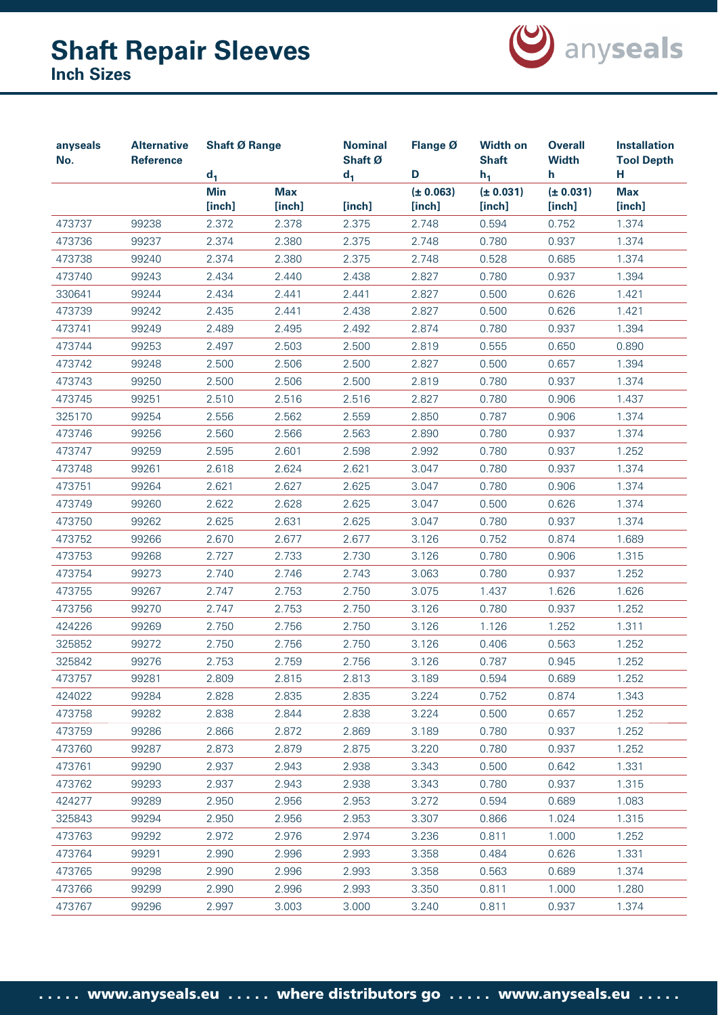

| anyseals<br>No. | <b>Alternative</b><br><b>Reference</b> | <b>Shaft Ø Range</b> |                      | <b>Nominal</b><br>Shaft Ø | Flange Ø            | <b>Width on</b><br><b>Shaft</b> | <b>Overall</b><br><b>Width</b> | <b>Installation</b><br><b>Tool Depth</b> |
|-----------------|----------------------------------------|----------------------|----------------------|---------------------------|---------------------|---------------------------------|--------------------------------|------------------------------------------|
|                 |                                        | d <sub>1</sub>       |                      | $d_1$                     | D                   | $h_1$                           | h                              | н                                        |
|                 |                                        | <b>Min</b><br>[inch] | <b>Max</b><br>[inch] | [inch]                    | (± 0.063)<br>[inch] | (± 0.031)<br>[inch]             | (± 0.031)<br>[inch]            | <b>Max</b><br>[inch]                     |
| 473737          | 99238                                  | 2.372                | 2.378                | 2.375                     | 2.748               | 0.594                           | 0.752                          | 1.374                                    |
| 473736          | 99237                                  | 2.374                | 2.380                | 2.375                     | 2.748               | 0.780                           | 0.937                          | 1.374                                    |
| 473738          | 99240                                  | 2.374                | 2.380                | 2.375                     | 2.748               | 0.528                           | 0.685                          | 1.374                                    |
| 473740          | 99243                                  | 2.434                | 2.440                | 2.438                     | 2.827               | 0.780                           | 0.937                          | 1.394                                    |
| 330641          | 99244                                  | 2.434                | 2.441                | 2.441                     | 2.827               | 0.500                           | 0.626                          | 1.421                                    |
| 473739          | 99242                                  | 2.435                | 2.441                | 2.438                     | 2.827               | 0.500                           | 0.626                          | 1.421                                    |
| 473741          | 99249                                  | 2.489                | 2.495                | 2.492                     | 2.874               | 0.780                           | 0.937                          | 1.394                                    |
| 473744          | 99253                                  | 2.497                | 2.503                | 2.500                     | 2.819               | 0.555                           | 0.650                          | 0.890                                    |
| 473742          | 99248                                  | 2.500                | 2.506                | 2.500                     | 2.827               | 0.500                           | 0.657                          | 1.394                                    |
| 473743          | 99250                                  | 2.500                | 2.506                | 2.500                     | 2.819               | 0.780                           | 0.937                          | 1.374                                    |
| 473745          | 99251                                  | 2.510                | 2.516                | 2.516                     | 2.827               | 0.780                           | 0.906                          | 1.437                                    |
| 325170          | 99254                                  | 2.556                | 2.562                | 2.559                     | 2.850               | 0.787                           | 0.906                          | 1.374                                    |
| 473746          | 99256                                  | 2.560                | 2.566                | 2.563                     | 2.890               | 0.780                           | 0.937                          | 1.374                                    |
| 473747          | 99259                                  | 2.595                | 2.601                | 2.598                     | 2.992               | 0.780                           | 0.937                          | 1.252                                    |
| 473748          | 99261                                  | 2.618                | 2.624                | 2.621                     | 3.047               | 0.780                           | 0.937                          | 1.374                                    |
| 473751          | 99264                                  | 2.621                | 2.627                | 2.625                     | 3.047               | 0.780                           | 0.906                          | 1.374                                    |
| 473749          | 99260                                  | 2.622                | 2.628                | 2.625                     | 3.047               | 0.500                           | 0.626                          | 1.374                                    |
| 473750          | 99262                                  | 2.625                | 2.631                | 2.625                     | 3.047               | 0.780                           | 0.937                          | 1.374                                    |
| 473752          | 99266                                  | 2.670                | 2.677                | 2.677                     | 3.126               | 0.752                           | 0.874                          | 1.689                                    |
| 473753          | 99268                                  | 2.727                | 2.733                | 2.730                     | 3.126               | 0.780                           | 0.906                          | 1.315                                    |
| 473754          | 99273                                  | 2.740                | 2.746                | 2.743                     | 3.063               | 0.780                           | 0.937                          | 1.252                                    |
| 473755          | 99267                                  | 2.747                | 2.753                | 2.750                     | 3.075               | 1.437                           | 1.626                          | 1.626                                    |
| 473756          | 99270                                  | 2.747                | 2.753                | 2.750                     | 3.126               | 0.780                           | 0.937                          | 1.252                                    |
| 424226          | 99269                                  | 2.750                | 2.756                | 2.750                     | 3.126               | 1.126                           | 1.252                          | 1.311                                    |
| 325852          | 99272                                  | 2.750                | 2.756                | 2.750                     | 3.126               | 0.406                           | 0.563                          | 1.252                                    |
| 325842          | 99276                                  | 2.753                | 2.759                | 2.756                     | 3.126               | 0.787                           | 0.945                          | 1.252                                    |
| 473757          | 99281                                  | 2.809                | 2.815                | 2.813                     | 3.189               | 0.594                           | 0.689                          | 1.252                                    |
| 424022          | 99284                                  | 2.828                | 2.835                | 2.835                     | 3.224               | 0.752                           | 0.874                          | 1.343                                    |
| 473758          | 99282                                  | 2.838                | 2.844                | 2.838                     | 3.224               | 0.500                           | 0.657                          | 1.252                                    |
| 473759          | 99286                                  | 2.866                | 2.872                | 2.869                     | 3.189               | 0.780                           | 0.937                          | 1.252                                    |
| 473760          | 99287                                  | 2.873                | 2.879                | 2.875                     | 3.220               | 0.780                           | 0.937                          | 1.252                                    |
| 473761          | 99290                                  | 2.937                | 2.943                | 2.938                     | 3.343               | 0.500                           | 0.642                          | 1.331                                    |
| 473762          | 99293                                  | 2.937                | 2.943                | 2.938                     | 3.343               | 0.780                           | 0.937                          | 1.315                                    |
| 424277          | 99289                                  | 2.950                | 2.956                | 2.953                     | 3.272               | 0.594                           | 0.689                          | 1.083                                    |
| 325843          | 99294                                  | 2.950                | 2.956                | 2.953                     | 3.307               | 0.866                           | 1.024                          | 1.315                                    |
| 473763          | 99292                                  | 2.972                | 2.976                | 2.974                     | 3.236               | 0.811                           | 1.000                          | 1.252                                    |
| 473764          | 99291                                  | 2.990                | 2.996                | 2.993                     | 3.358               | 0.484                           | 0.626                          | 1.331                                    |
| 473765          | 99298                                  | 2.990                | 2.996                | 2.993                     | 3.358               | 0.563                           | 0.689                          | 1.374                                    |
| 473766          | 99299                                  | 2.990                | 2.996                | 2.993                     | 3.350               | 0.811                           | 1.000                          | 1.280                                    |
| 473767          | 99296                                  | 2.997                | 3.003                | 3.000                     | 3.240               | 0.811                           | 0.937                          | 1.374                                    |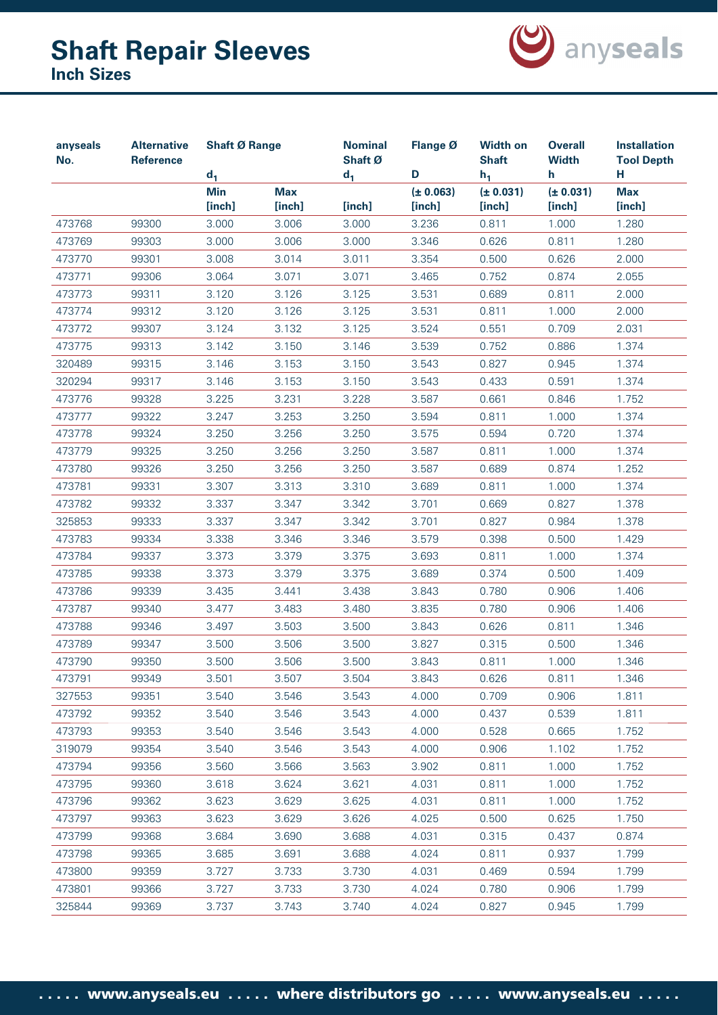

| anyseals<br>No. | <b>Alternative</b><br>Reference | <b>Shaft Ø Range</b>          |                      | <b>Nominal</b><br>Shaft Ø | Flange Ø<br>D       | <b>Width on</b><br><b>Shaft</b> | <b>Overall</b><br><b>Width</b><br>h. | <b>Installation</b><br><b>Tool Depth</b><br>н |
|-----------------|---------------------------------|-------------------------------|----------------------|---------------------------|---------------------|---------------------------------|--------------------------------------|-----------------------------------------------|
|                 |                                 | $d_1$<br><b>Min</b><br>[inch] | <b>Max</b><br>[inch] | $d_1$<br>[inch]           | (± 0.063)<br>[inch] | $h_1$<br>(± 0.031)<br>[inch]    | (± 0.031)<br>[inch]                  | <b>Max</b><br>[inch]                          |
| 473768          | 99300                           | 3.000                         | 3.006                | 3.000                     | 3.236               | 0.811                           | 1.000                                | 1.280                                         |
| 473769          | 99303                           | 3.000                         | 3.006                | 3.000                     | 3.346               | 0.626                           | 0.811                                | 1.280                                         |
| 473770          | 99301                           | 3.008                         | 3.014                | 3.011                     | 3.354               | 0.500                           | 0.626                                | 2.000                                         |
| 473771          | 99306                           | 3.064                         | 3.071                | 3.071                     | 3.465               | 0.752                           | 0.874                                | 2.055                                         |
| 473773          | 99311                           | 3.120                         | 3.126                | 3.125                     | 3.531               | 0.689                           | 0.811                                | 2.000                                         |
| 473774          | 99312                           | 3.120                         | 3.126                | 3.125                     | 3.531               | 0.811                           | 1.000                                | 2.000                                         |
| 473772          | 99307                           | 3.124                         | 3.132                | 3.125                     | 3.524               | 0.551                           | 0.709                                | 2.031                                         |
| 473775          | 99313                           | 3.142                         | 3.150                | 3.146                     | 3.539               | 0.752                           | 0.886                                | 1.374                                         |
| 320489          | 99315                           | 3.146                         | 3.153                | 3.150                     | 3.543               | 0.827                           | 0.945                                | 1.374                                         |
| 320294          | 99317                           | 3.146                         | 3.153                | 3.150                     | 3.543               | 0.433                           | 0.591                                | 1.374                                         |
| 473776          | 99328                           | 3.225                         | 3.231                | 3.228                     | 3.587               | 0.661                           | 0.846                                | 1.752                                         |
| 473777          | 99322                           | 3.247                         | 3.253                | 3.250                     | 3.594               | 0.811                           | 1.000                                | 1.374                                         |
| 473778          | 99324                           | 3.250                         | 3.256                | 3.250                     | 3.575               | 0.594                           | 0.720                                | 1.374                                         |
| 473779          | 99325                           | 3.250                         | 3.256                | 3.250                     | 3.587               | 0.811                           | 1.000                                | 1.374                                         |
| 473780          | 99326                           | 3.250                         | 3.256                | 3.250                     | 3.587               | 0.689                           | 0.874                                | 1.252                                         |
| 473781          | 99331                           | 3.307                         | 3.313                | 3.310                     | 3.689               | 0.811                           | 1.000                                | 1.374                                         |
| 473782          | 99332                           | 3.337                         | 3.347                | 3.342                     | 3.701               | 0.669                           | 0.827                                | 1.378                                         |
| 325853          | 99333                           | 3.337                         | 3.347                | 3.342                     | 3.701               | 0.827                           | 0.984                                | 1.378                                         |
| 473783          | 99334                           | 3.338                         | 3.346                | 3.346                     | 3.579               | 0.398                           | 0.500                                | 1.429                                         |
| 473784          | 99337                           | 3.373                         | 3.379                | 3.375                     | 3.693               | 0.811                           | 1.000                                | 1.374                                         |
| 473785          | 99338                           | 3.373                         | 3.379                | 3.375                     | 3.689               | 0.374                           | 0.500                                | 1.409                                         |
| 473786          | 99339                           | 3.435                         | 3.441                | 3.438                     | 3.843               | 0.780                           | 0.906                                | 1.406                                         |
| 473787          | 99340                           | 3.477                         | 3.483                | 3.480                     | 3.835               | 0.780                           | 0.906                                | 1.406                                         |
| 473788          | 99346                           | 3.497                         | 3.503                | 3.500                     | 3.843               | 0.626                           | 0.811                                | 1.346                                         |
| 473789          | 99347                           | 3.500                         | 3.506                | 3.500                     | 3.827               | 0.315                           | 0.500                                | 1.346                                         |
| 473790          | 99350                           | 3.500                         | 3.506                | 3.500                     | 3.843               | 0.811                           | 1.000                                | 1.346                                         |
| 473791          | 99349                           | 3.501                         | 3.507                | 3.504                     | 3.843               | 0.626                           | 0.811                                | 1.346                                         |
| 327553          | 99351                           | 3.540                         | 3.546                | 3.543                     | 4.000               | 0.709                           | 0.906                                | 1.811                                         |
| 473792          | 99352                           | 3.540                         | 3.546                | 3.543                     | 4.000               | 0.437                           | 0.539                                | 1.811                                         |
| 473793          | 99353                           | 3.540                         | 3.546                | 3.543                     | 4.000               | 0.528                           | 0.665                                | 1.752                                         |
| 319079          | 99354                           | 3.540                         | 3.546                | 3.543                     | 4.000               | 0.906                           | 1.102                                | 1.752                                         |
| 473794          | 99356                           | 3.560                         | 3.566                | 3.563                     | 3.902               | 0.811                           | 1.000                                | 1.752                                         |
| 473795          | 99360                           | 3.618                         | 3.624                | 3.621                     | 4.031               | 0.811                           | 1.000                                | 1.752                                         |
| 473796          | 99362                           | 3.623                         | 3.629                | 3.625                     | 4.031               | 0.811                           | 1.000                                | 1.752                                         |
| 473797          | 99363                           | 3.623                         | 3.629                | 3.626                     | 4.025               | 0.500                           | 0.625                                | 1.750                                         |
| 473799          | 99368                           | 3.684                         | 3.690                | 3.688                     | 4.031               | 0.315                           | 0.437                                | 0.874                                         |
| 473798          | 99365                           | 3.685                         | 3.691                | 3.688                     | 4.024               | 0.811                           | 0.937                                | 1.799                                         |
| 473800          | 99359                           | 3.727                         | 3.733                | 3.730                     | 4.031               | 0.469                           | 0.594                                | 1.799                                         |
| 473801          | 99366                           | 3.727                         | 3.733                | 3.730                     | 4.024               | 0.780                           | 0.906                                | 1.799                                         |
| 325844          | 99369                           | 3.737                         | 3.743                | 3.740                     | 4.024               | 0.827                           | 0.945                                | 1.799                                         |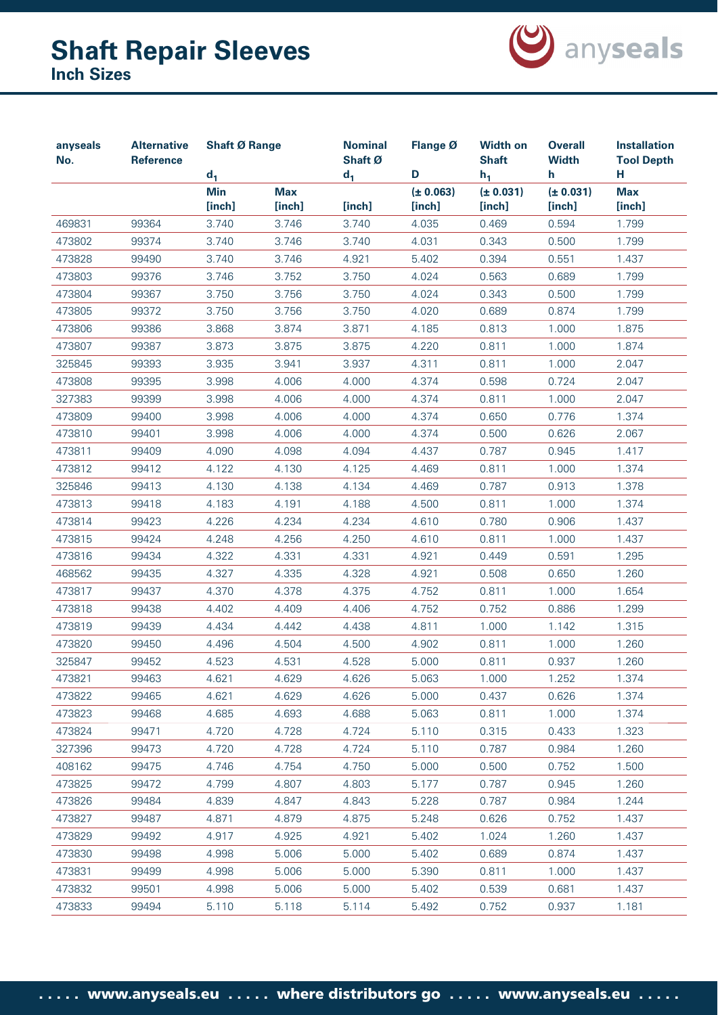

| anyseals<br>No. | <b>Alternative</b><br><b>Reference</b> | <b>Shaft Ø Range</b> |                      | <b>Nominal</b><br>Shaft Ø | Flange Ø            | <b>Width on</b><br><b>Shaft</b> | <b>Overall</b><br><b>Width</b> | <b>Installation</b><br><b>Tool Depth</b> |
|-----------------|----------------------------------------|----------------------|----------------------|---------------------------|---------------------|---------------------------------|--------------------------------|------------------------------------------|
|                 |                                        | $d_1$                |                      | $d_1$                     | D                   | $h_1$                           | h.                             | н.                                       |
|                 |                                        | <b>Min</b><br>[inch] | <b>Max</b><br>[inch] | [inch]                    | (± 0.063)<br>[inch] | (± 0.031)<br>[inch]             | (± 0.031)<br>[inch]            | <b>Max</b><br>[inch]                     |
| 469831          | 99364                                  | 3.740                | 3.746                | 3.740                     | 4.035               | 0.469                           | 0.594                          | 1.799                                    |
| 473802          | 99374                                  | 3.740                | 3.746                | 3.740                     | 4.031               | 0.343                           | 0.500                          | 1.799                                    |
| 473828          | 99490                                  | 3.740                | 3.746                | 4.921                     | 5.402               | 0.394                           | 0.551                          | 1.437                                    |
| 473803          | 99376                                  | 3.746                | 3.752                | 3.750                     | 4.024               | 0.563                           | 0.689                          | 1.799                                    |
| 473804          | 99367                                  | 3.750                | 3.756                | 3.750                     | 4.024               | 0.343                           | 0.500                          | 1.799                                    |
| 473805          | 99372                                  | 3.750                | 3.756                | 3.750                     | 4.020               | 0.689                           | 0.874                          | 1.799                                    |
| 473806          | 99386                                  | 3.868                | 3.874                | 3.871                     | 4.185               | 0.813                           | 1.000                          | 1.875                                    |
| 473807          | 99387                                  | 3.873                | 3.875                | 3.875                     | 4.220               | 0.811                           | 1.000                          | 1.874                                    |
| 325845          | 99393                                  | 3.935                | 3.941                | 3.937                     | 4.311               | 0.811                           | 1.000                          | 2.047                                    |
| 473808          | 99395                                  | 3.998                | 4.006                | 4.000                     | 4.374               | 0.598                           | 0.724                          | 2.047                                    |
| 327383          | 99399                                  | 3.998                | 4.006                | 4.000                     | 4.374               | 0.811                           | 1.000                          | 2.047                                    |
| 473809          | 99400                                  | 3.998                | 4.006                | 4.000                     | 4.374               | 0.650                           | 0.776                          | 1.374                                    |
| 473810          | 99401                                  | 3.998                | 4.006                | 4.000                     | 4.374               | 0.500                           | 0.626                          | 2.067                                    |
| 473811          | 99409                                  | 4.090                | 4.098                | 4.094                     | 4.437               | 0.787                           | 0.945                          | 1.417                                    |
| 473812          | 99412                                  | 4.122                | 4.130                | 4.125                     | 4.469               | 0.811                           | 1.000                          | 1.374                                    |
| 325846          | 99413                                  | 4.130                | 4.138                | 4.134                     | 4.469               | 0.787                           | 0.913                          | 1.378                                    |
| 473813          | 99418                                  | 4.183                | 4.191                | 4.188                     | 4.500               | 0.811                           | 1.000                          | 1.374                                    |
| 473814          | 99423                                  | 4.226                | 4.234                | 4.234                     | 4.610               | 0.780                           | 0.906                          | 1.437                                    |
| 473815          | 99424                                  | 4.248                | 4.256                | 4.250                     | 4.610               | 0.811                           | 1.000                          | 1.437                                    |
| 473816          | 99434                                  | 4.322                | 4.331                | 4.331                     | 4.921               | 0.449                           | 0.591                          | 1.295                                    |
| 468562          | 99435                                  | 4.327                | 4.335                | 4.328                     | 4.921               | 0.508                           | 0.650                          | 1.260                                    |
| 473817          | 99437                                  | 4.370                | 4.378                | 4.375                     | 4.752               | 0.811                           | 1.000                          | 1.654                                    |
| 473818          | 99438                                  | 4.402                | 4.409                | 4.406                     | 4.752               | 0.752                           | 0.886                          | 1.299                                    |
| 473819          | 99439                                  | 4.434                | 4.442                | 4.438                     | 4.811               | 1.000                           | 1.142                          | 1.315                                    |
| 473820          | 99450                                  | 4.496                | 4.504                | 4.500                     | 4.902               | 0.811                           | 1.000                          | 1.260                                    |
| 325847          | 99452                                  | 4.523                | 4.531                | 4.528                     | 5.000               | 0.811                           | 0.937                          | 1.260                                    |
| 473821          | 99463                                  | 4.621                | 4.629                | 4.626                     | 5.063               | 1.000                           | 1.252                          | 1.374                                    |
| 473822          | 99465                                  | 4.621                | 4.629                | 4.626                     | 5.000               | 0.437                           | 0.626                          | 1.374                                    |
| 473823          | 99468                                  | 4.685                | 4.693                | 4.688                     | 5.063               | 0.811                           | 1.000                          | 1.374                                    |
| 473824          | 99471                                  | 4.720                | 4.728                | 4.724                     | 5.110               | 0.315                           | 0.433                          | 1.323                                    |
| 327396          | 99473                                  | 4.720                | 4.728                | 4.724                     | 5.110               | 0.787                           | 0.984                          | 1.260                                    |
| 408162          | 99475                                  | 4.746                | 4.754                | 4.750                     | 5.000               | 0.500                           | 0.752                          | 1.500                                    |
| 473825          | 99472                                  | 4.799                | 4.807                | 4.803                     | 5.177               | 0.787                           | 0.945                          | 1.260                                    |
| 473826          | 99484                                  | 4.839                | 4.847                | 4.843                     | 5.228               | 0.787                           | 0.984                          | 1.244                                    |
| 473827          | 99487                                  | 4.871                | 4.879                | 4.875                     | 5.248               | 0.626                           | 0.752                          | 1.437                                    |
| 473829          | 99492                                  | 4.917                | 4.925                | 4.921                     | 5.402               | 1.024                           | 1.260                          | 1.437                                    |
| 473830          | 99498                                  | 4.998                | 5.006                | 5.000                     | 5.402               | 0.689                           | 0.874                          | 1.437                                    |
| 473831          | 99499                                  | 4.998                | 5.006                | 5.000                     | 5.390               | 0.811                           | 1.000                          | 1.437                                    |
| 473832          | 99501                                  | 4.998                | 5.006                | 5.000                     | 5.402               | 0.539                           | 0.681                          | 1.437                                    |
| 473833          | 99494                                  | 5.110                | 5.118                | 5.114                     | 5.492               | 0.752                           | 0.937                          | 1.181                                    |